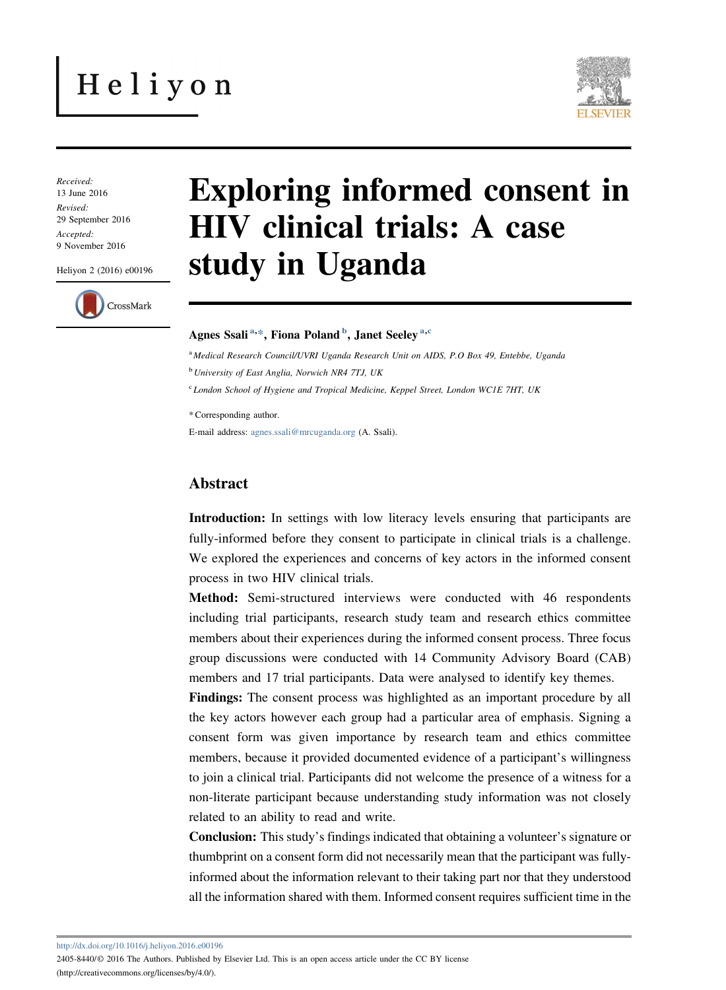# Heliyon



Received: 13 June 2016 Revised: 29 September 2016 Accepted: 9 November 2016

Heliyon 2 (2016) e00196



# Exploring informed consent in HIV clinical trials: A case study in Uganda

## Agnes Ssali<sup>a,\*</sup>, Fiona Poland <sup>b</sup>, Janet Seeley<sup>a,c</sup>

<sup>a</sup> Medical Research Council/UVRI Uganda Research Unit on AIDS, P.O Box 49, Entebbe, Uganda

<sup>b</sup> University of East Anglia, Norwich NR4 7TJ, UK

<sup>c</sup> London School of Hygiene and Tropical Medicine, Keppel Street, London WC1E 7HT, UK

\* Corresponding author.

E-mail address: [agnes.ssali@mrcuganda.org](mailto:agnes.ssali@mrcuganda.org) (A. Ssali).

## Abstract

Introduction: In settings with low literacy levels ensuring that participants are fully-informed before they consent to participate in clinical trials is a challenge. We explored the experiences and concerns of key actors in the informed consent process in two HIV clinical trials.

Method: Semi-structured interviews were conducted with 46 respondents including trial participants, research study team and research ethics committee members about their experiences during the informed consent process. Three focus group discussions were conducted with 14 Community Advisory Board (CAB) members and 17 trial participants. Data were analysed to identify key themes.

Findings: The consent process was highlighted as an important procedure by all the key actors however each group had a particular area of emphasis. Signing a consent form was given importance by research team and ethics committee members, because it provided documented evidence of a participant's willingness to join a clinical trial. Participants did not welcome the presence of a witness for a non-literate participant because understanding study information was not closely related to an ability to read and write.

Conclusion: This study's findings indicated that obtaining a volunteer's signature or thumbprint on a consent form did not necessarily mean that the participant was fullyinformed about the information relevant to their taking part nor that they understood all the information shared with them. Informed consent requires sufficient time in the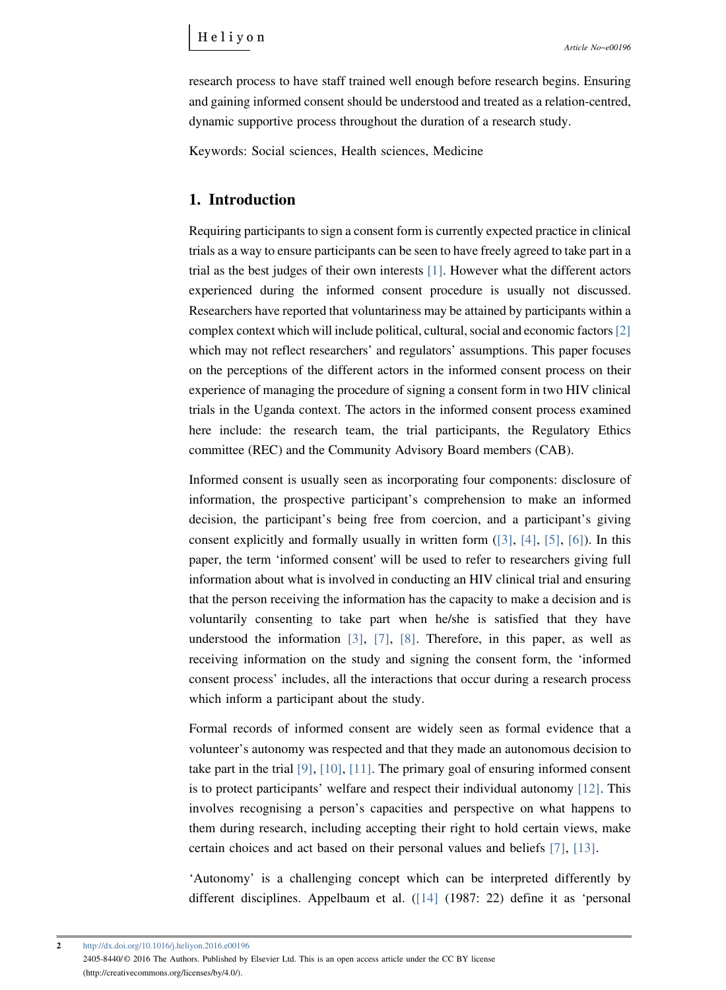research process to have staff trained well enough before research begins. Ensuring and gaining informed consent should be understood and treated as a relation-centred, dynamic supportive process throughout the duration of a research study.

Keywords: Social sciences, Health sciences, Medicine

## 1. Introduction

Requiring participants to sign a consent form is currently expected practice in clinical trials as a way to ensure participants can be seen to have freely agreed to take part in a trial as the best judges of their own interests [\[1\]](#page-22-0). However what the different actors experienced during the informed consent procedure is usually not discussed. Researchers have reported that voluntariness may be attained by participants within a complex context which will include political, cultural, social and economic factors[\[2\]](#page-22-0) which may not reflect researchers' and regulators' assumptions. This paper focuses on the perceptions of the different actors in the informed consent process on their experience of managing the procedure of signing a consent form in two HIV clinical trials in the Uganda context. The actors in the informed consent process examined here include: the research team, the trial participants, the Regulatory Ethics committee (REC) and the Community Advisory Board members (CAB).

Informed consent is usually seen as incorporating four components: disclosure of information, the prospective participant's comprehension to make an informed decision, the participant's being free from coercion, and a participant's giving consent explicitly and formally usually in written form  $(3, 4, 5, 6)$ . In this paper, the term 'informed consent' will be used to refer to researchers giving full information about what is involved in conducting an HIV clinical trial and ensuring that the person receiving the information has the capacity to make a decision and is voluntarily consenting to take part when he/she is satisfied that they have understood the information [\[3\],](#page-22-0) [\[7\]](#page-23-0), [\[8\]](#page-23-0). Therefore, in this paper, as well as receiving information on the study and signing the consent form, the 'informed consent process' includes, all the interactions that occur during a research process which inform a participant about the study.

Formal records of informed consent are widely seen as formal evidence that a volunteer's autonomy was respected and that they made an autonomous decision to take part in the trial [\[9\]](#page-23-0), [\[10\]](#page-23-0), [\[11\].](#page-23-0) The primary goal of ensuring informed consent is to protect participants' welfare and respect their individual autonomy [\[12\]](#page-23-0). This involves recognising a person's capacities and perspective on what happens to them during research, including accepting their right to hold certain views, make certain choices and act based on their personal values and beliefs [\[7\]](#page-23-0), [\[13\].](#page-23-0)

'Autonomy' is a challenging concept which can be interpreted differently by different disciplines. Appelbaum et al. [\(\[14\]](#page-23-0) (1987: 22) define it as 'personal

<sup>2</sup> <http://dx.doi.org/10.1016/j.heliyon.2016.e00196>

<sup>2405-8440/© 2016</sup> The Authors. Published by Elsevier Ltd. This is an open access article under the CC BY license (http://creativecommons.org/licenses/by/4.0/).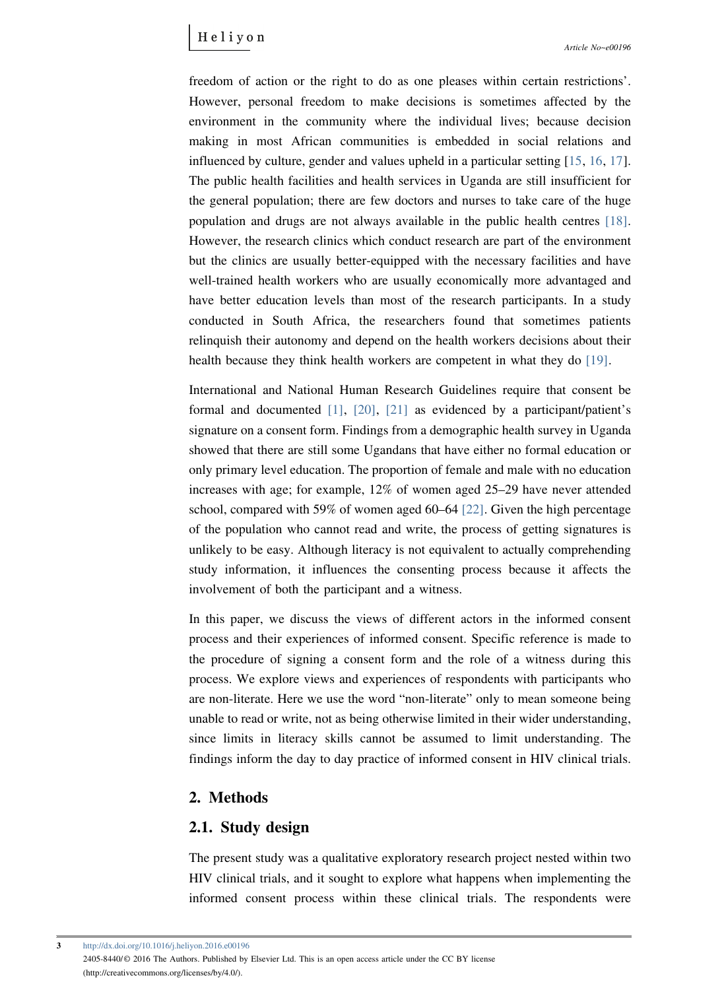freedom of action or the right to do as one pleases within certain restrictions'. However, personal freedom to make decisions is sometimes affected by the environment in the community where the individual lives; because decision making in most African communities is embedded in social relations and influenced by culture, gender and values upheld in a particular setting [[15,](#page-23-0) [16](#page-23-0), [17](#page-23-0)]. The public health facilities and health services in Uganda are still insufficient for the general population; there are few doctors and nurses to take care of the huge population and drugs are not always available in the public health centres [\[18\].](#page-23-0) However, the research clinics which conduct research are part of the environment but the clinics are usually better-equipped with the necessary facilities and have well-trained health workers who are usually economically more advantaged and have better education levels than most of the research participants. In a study conducted in South Africa, the researchers found that sometimes patients relinquish their autonomy and depend on the health workers decisions about their health because they think health workers are competent in what they do [\[19\]](#page-24-0).

International and National Human Research Guidelines require that consent be formal and documented [\[1\],](#page-22-0) [\[20\]](#page-24-0), [\[21\]](#page-24-0) as evidenced by a participant/patient's signature on a consent form. Findings from a demographic health survey in Uganda showed that there are still some Ugandans that have either no formal education or only primary level education. The proportion of female and male with no education increases with age; for example, 12% of women aged 25–29 have never attended school, compared with 59% of women aged 60–64 [\[22\]](#page-24-0). Given the high percentage of the population who cannot read and write, the process of getting signatures is unlikely to be easy. Although literacy is not equivalent to actually comprehending study information, it influences the consenting process because it affects the involvement of both the participant and a witness.

In this paper, we discuss the views of different actors in the informed consent process and their experiences of informed consent. Specific reference is made to the procedure of signing a consent form and the role of a witness during this process. We explore views and experiences of respondents with participants who are non-literate. Here we use the word "non-literate" only to mean someone being unable to read or write, not as being otherwise limited in their wider understanding, since limits in literacy skills cannot be assumed to limit understanding. The findings inform the day to day practice of informed consent in HIV clinical trials.

## 2. Methods

### 2.1. Study design

The present study was a qualitative exploratory research project nested within two HIV clinical trials, and it sought to explore what happens when implementing the informed consent process within these clinical trials. The respondents were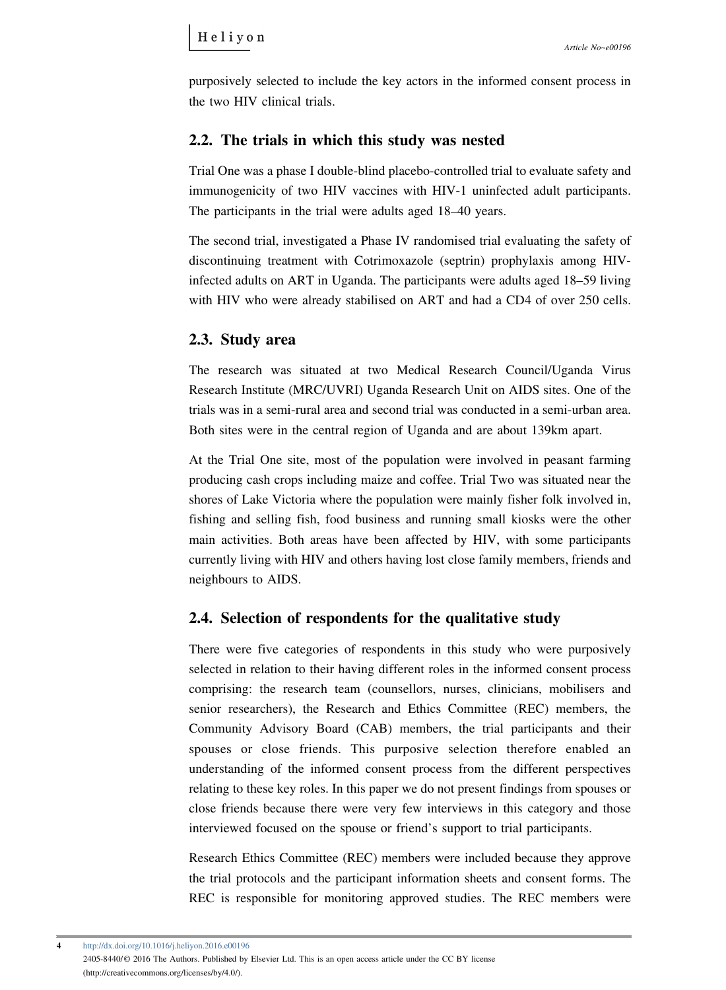purposively selected to include the key actors in the informed consent process in the two HIV clinical trials.

## 2.2. The trials in which this study was nested

Trial One was a phase I double-blind placebo-controlled trial to evaluate safety and immunogenicity of two HIV vaccines with HIV-1 uninfected adult participants. The participants in the trial were adults aged 18–40 years.

The second trial, investigated a Phase IV randomised trial evaluating the safety of discontinuing treatment with Cotrimoxazole (septrin) prophylaxis among HIVinfected adults on ART in Uganda. The participants were adults aged 18–59 living with HIV who were already stabilised on ART and had a CD4 of over 250 cells.

## 2.3. Study area

The research was situated at two Medical Research Council/Uganda Virus Research Institute (MRC/UVRI) Uganda Research Unit on AIDS sites. One of the trials was in a semi-rural area and second trial was conducted in a semi-urban area. Both sites were in the central region of Uganda and are about 139km apart.

At the Trial One site, most of the population were involved in peasant farming producing cash crops including maize and coffee. Trial Two was situated near the shores of Lake Victoria where the population were mainly fisher folk involved in, fishing and selling fish, food business and running small kiosks were the other main activities. Both areas have been affected by HIV, with some participants currently living with HIV and others having lost close family members, friends and neighbours to AIDS.

## 2.4. Selection of respondents for the qualitative study

There were five categories of respondents in this study who were purposively selected in relation to their having different roles in the informed consent process comprising: the research team (counsellors, nurses, clinicians, mobilisers and senior researchers), the Research and Ethics Committee (REC) members, the Community Advisory Board (CAB) members, the trial participants and their spouses or close friends. This purposive selection therefore enabled an understanding of the informed consent process from the different perspectives relating to these key roles. In this paper we do not present findings from spouses or close friends because there were very few interviews in this category and those interviewed focused on the spouse or friend's support to trial participants.

Research Ethics Committee (REC) members were included because they approve the trial protocols and the participant information sheets and consent forms. The REC is responsible for monitoring approved studies. The REC members were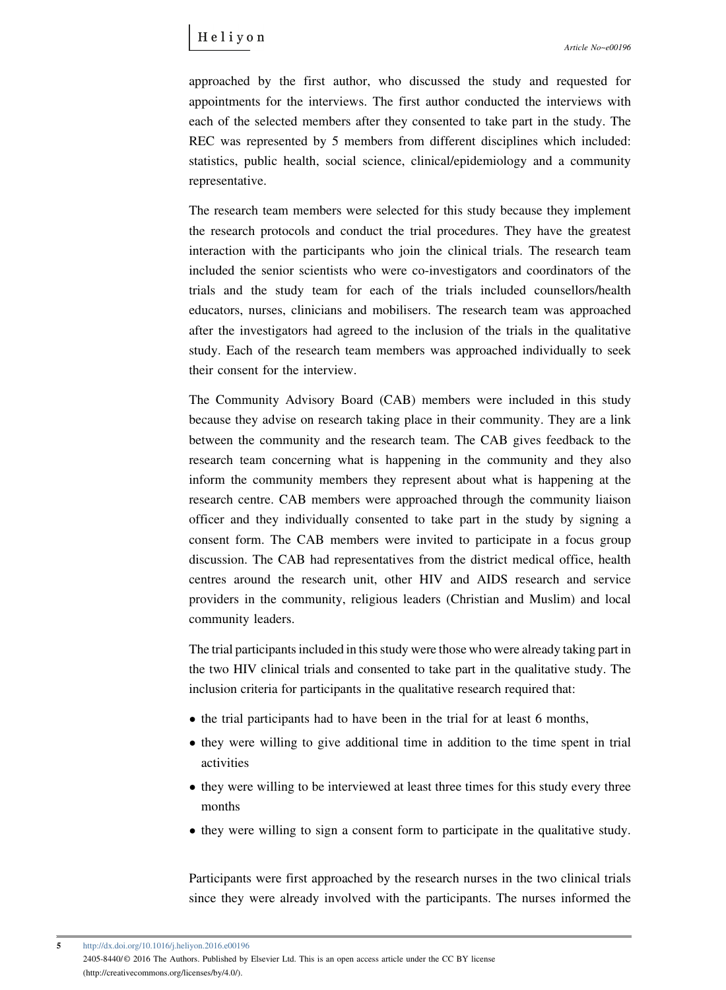approached by the first author, who discussed the study and requested for appointments for the interviews. The first author conducted the interviews with each of the selected members after they consented to take part in the study. The REC was represented by 5 members from different disciplines which included: statistics, public health, social science, clinical/epidemiology and a community representative.

The research team members were selected for this study because they implement the research protocols and conduct the trial procedures. They have the greatest interaction with the participants who join the clinical trials. The research team included the senior scientists who were co-investigators and coordinators of the trials and the study team for each of the trials included counsellors/health educators, nurses, clinicians and mobilisers. The research team was approached after the investigators had agreed to the inclusion of the trials in the qualitative study. Each of the research team members was approached individually to seek their consent for the interview.

The Community Advisory Board (CAB) members were included in this study because they advise on research taking place in their community. They are a link between the community and the research team. The CAB gives feedback to the research team concerning what is happening in the community and they also inform the community members they represent about what is happening at the research centre. CAB members were approached through the community liaison officer and they individually consented to take part in the study by signing a consent form. The CAB members were invited to participate in a focus group discussion. The CAB had representatives from the district medical office, health centres around the research unit, other HIV and AIDS research and service providers in the community, religious leaders (Christian and Muslim) and local community leaders.

The trial participants included in this study were those who were already taking part in the two HIV clinical trials and consented to take part in the qualitative study. The inclusion criteria for participants in the qualitative research required that:

- the trial participants had to have been in the trial for at least 6 months,
- they were willing to give additional time in addition to the time spent in trial activities
- they were willing to be interviewed at least three times for this study every three months
- they were willing to sign a consent form to participate in the qualitative study.

Participants were first approached by the research nurses in the two clinical trials since they were already involved with the participants. The nurses informed the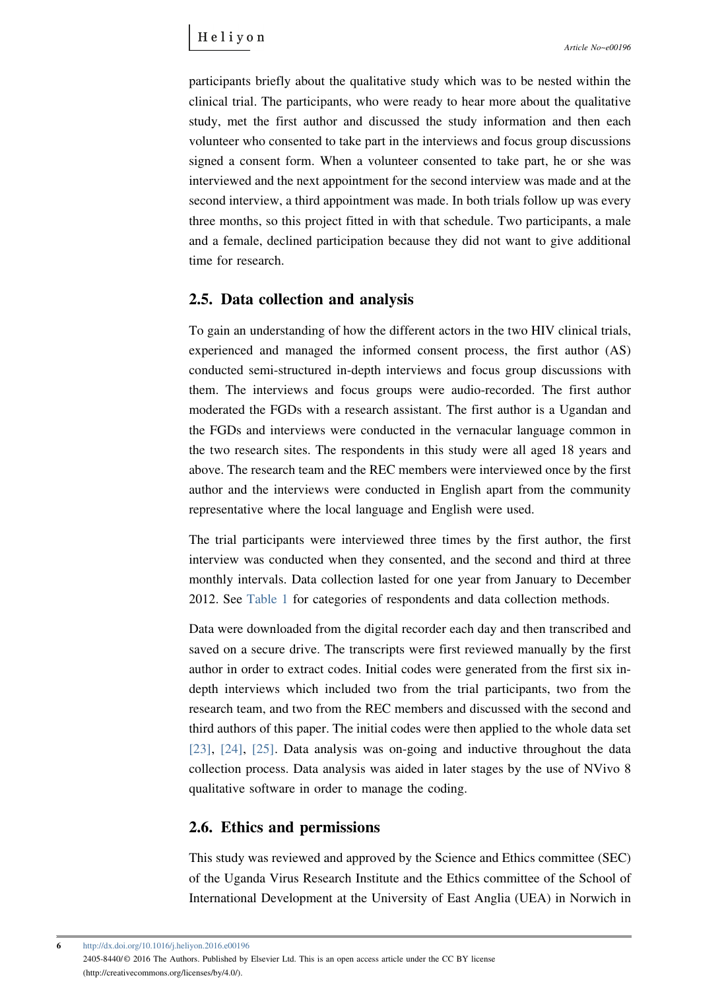participants briefly about the qualitative study which was to be nested within the clinical trial. The participants, who were ready to hear more about the qualitative study, met the first author and discussed the study information and then each volunteer who consented to take part in the interviews and focus group discussions signed a consent form. When a volunteer consented to take part, he or she was interviewed and the next appointment for the second interview was made and at the second interview, a third appointment was made. In both trials follow up was every three months, so this project fitted in with that schedule. Two participants, a male and a female, declined participation because they did not want to give additional time for research.

## 2.5. Data collection and analysis

To gain an understanding of how the different actors in the two HIV clinical trials, experienced and managed the informed consent process, the first author (AS) conducted semi-structured in-depth interviews and focus group discussions with them. The interviews and focus groups were audio-recorded. The first author moderated the FGDs with a research assistant. The first author is a Ugandan and the FGDs and interviews were conducted in the vernacular language common in the two research sites. The respondents in this study were all aged 18 years and above. The research team and the REC members were interviewed once by the first author and the interviews were conducted in English apart from the community representative where the local language and English were used.

The trial participants were interviewed three times by the first author, the first interview was conducted when they consented, and the second and third at three monthly intervals. Data collection lasted for one year from January to December 2012. See [Table 1](#page-6-0) for categories of respondents and data collection methods.

Data were downloaded from the digital recorder each day and then transcribed and saved on a secure drive. The transcripts were first reviewed manually by the first author in order to extract codes. Initial codes were generated from the first six indepth interviews which included two from the trial participants, two from the research team, and two from the REC members and discussed with the second and third authors of this paper. The initial codes were then applied to the whole data set [\[23\]](#page-24-0), [\[24\]](#page-24-0), [\[25\]](#page-24-0). Data analysis was on-going and inductive throughout the data collection process. Data analysis was aided in later stages by the use of NVivo 8 qualitative software in order to manage the coding.

## 2.6. Ethics and permissions

This study was reviewed and approved by the Science and Ethics committee (SEC) of the Uganda Virus Research Institute and the Ethics committee of the School of International Development at the University of East Anglia (UEA) in Norwich in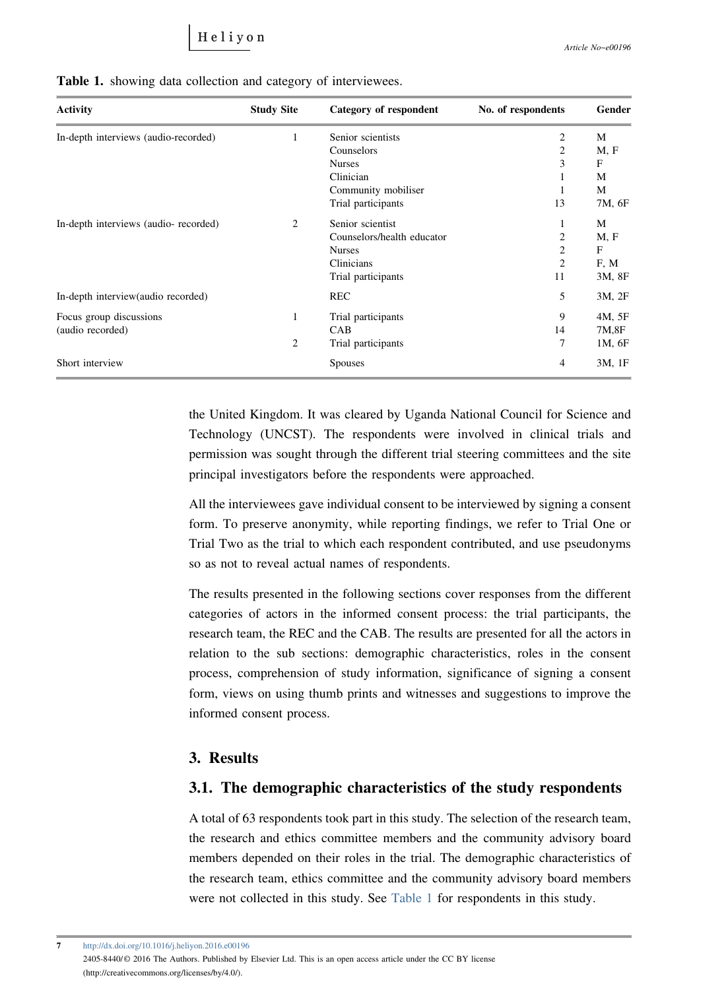Helivon

| <b>Activity</b>                      | <b>Study Site</b> | Category of respondent     | No. of respondents | Gender       |
|--------------------------------------|-------------------|----------------------------|--------------------|--------------|
| In-depth interviews (audio-recorded) | 1                 | Senior scientists          | 2                  | M            |
|                                      |                   | Counselors                 | 2                  | M, F         |
|                                      |                   | <b>Nurses</b>              | 3                  | F            |
|                                      |                   | Clinician                  |                    | M            |
|                                      |                   | Community mobiliser        |                    | M            |
|                                      |                   | Trial participants         | 13                 | 7M, 6F       |
| In-depth interviews (audio-recorded) | 2                 | Senior scientist           | 1                  | M            |
|                                      |                   | Counselors/health educator | 2                  | M, F         |
|                                      |                   | <b>Nurses</b>              | 2                  | $\mathbf{F}$ |
|                                      |                   | Clinicians                 | 2                  | F, M         |
|                                      |                   | Trial participants         | 11                 | 3M, 8F       |
| In-depth interview (audio recorded)  |                   | <b>REC</b>                 | 5                  | 3M, 2F       |
| Focus group discussions              | 1                 | Trial participants         | 9                  | 4M, 5F       |
| (audio recorded)                     |                   | <b>CAB</b>                 | 14                 | 7M,8F        |
|                                      | 2                 | Trial participants         | 7                  | 1M, 6F       |
| Short interview                      |                   | <b>Spouses</b>             | 4                  | 3M, 1F       |

#### <span id="page-6-0"></span>Table 1. showing data collection and category of interviewees.

the United Kingdom. It was cleared by Uganda National Council for Science and Technology (UNCST). The respondents were involved in clinical trials and permission was sought through the different trial steering committees and the site principal investigators before the respondents were approached.

All the interviewees gave individual consent to be interviewed by signing a consent form. To preserve anonymity, while reporting findings, we refer to Trial One or Trial Two as the trial to which each respondent contributed, and use pseudonyms so as not to reveal actual names of respondents.

The results presented in the following sections cover responses from the different categories of actors in the informed consent process: the trial participants, the research team, the REC and the CAB. The results are presented for all the actors in relation to the sub sections: demographic characteristics, roles in the consent process, comprehension of study information, significance of signing a consent form, views on using thumb prints and witnesses and suggestions to improve the informed consent process.

#### 3. Results

### 3.1. The demographic characteristics of the study respondents

A total of 63 respondents took part in this study. The selection of the research team, the research and ethics committee members and the community advisory board members depended on their roles in the trial. The demographic characteristics of the research team, ethics committee and the community advisory board members were not collected in this study. See Table 1 for respondents in this study.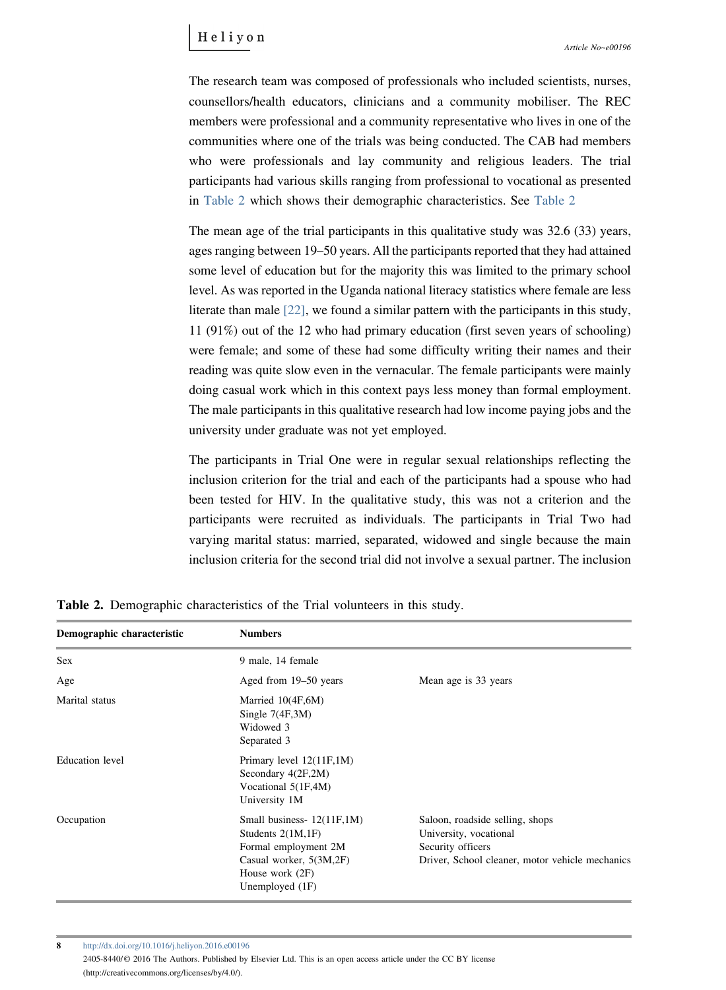The research team was composed of professionals who included scientists, nurses, counsellors/health educators, clinicians and a community mobiliser. The REC members were professional and a community representative who lives in one of the communities where one of the trials was being conducted. The CAB had members who were professionals and lay community and religious leaders. The trial participants had various skills ranging from professional to vocational as presented in Table 2 which shows their demographic characteristics. See Table 2

The mean age of the trial participants in this qualitative study was 32.6 (33) years, ages ranging between 19–50 years. All the participants reported that they had attained some level of education but for the majority this was limited to the primary school level. As was reported in the Uganda national literacy statistics where female are less literate than male [\[22\]](#page-24-0), we found a similar pattern with the participants in this study, 11 (91%) out of the 12 who had primary education (first seven years of schooling) were female; and some of these had some difficulty writing their names and their reading was quite slow even in the vernacular. The female participants were mainly doing casual work which in this context pays less money than formal employment. The male participants in this qualitative research had low income paying jobs and the university under graduate was not yet employed.

The participants in Trial One were in regular sexual relationships reflecting the inclusion criterion for the trial and each of the participants had a spouse who had been tested for HIV. In the qualitative study, this was not a criterion and the participants were recruited as individuals. The participants in Trial Two had varying marital status: married, separated, widowed and single because the main inclusion criteria for the second trial did not involve a sexual partner. The inclusion

| Demographic characteristic | <b>Numbers</b>                                                                                                                                |                                                                                                                                   |
|----------------------------|-----------------------------------------------------------------------------------------------------------------------------------------------|-----------------------------------------------------------------------------------------------------------------------------------|
| Sex                        | 9 male, 14 female                                                                                                                             |                                                                                                                                   |
| Age                        | Aged from 19–50 years                                                                                                                         | Mean age is 33 years                                                                                                              |
| Marital status             | Married 10(4F,6M)<br>Single $7(4F,3M)$<br>Widowed 3<br>Separated 3                                                                            |                                                                                                                                   |
| Education level            | Primary level $12(11F, 1M)$<br>Secondary $4(2F,2M)$<br>Vocational 5(1F,4M)<br>University 1M                                                   |                                                                                                                                   |
| Occupation                 | Small business- $12(11F,1M)$<br>Students $2(1M, 1F)$<br>Formal employment 2M<br>Casual worker, 5(3M,2F)<br>House work (2F)<br>Unemployed (1F) | Saloon, roadside selling, shops<br>University, vocational<br>Security officers<br>Driver, School cleaner, motor vehicle mechanics |

Table 2. Demographic characteristics of the Trial volunteers in this study.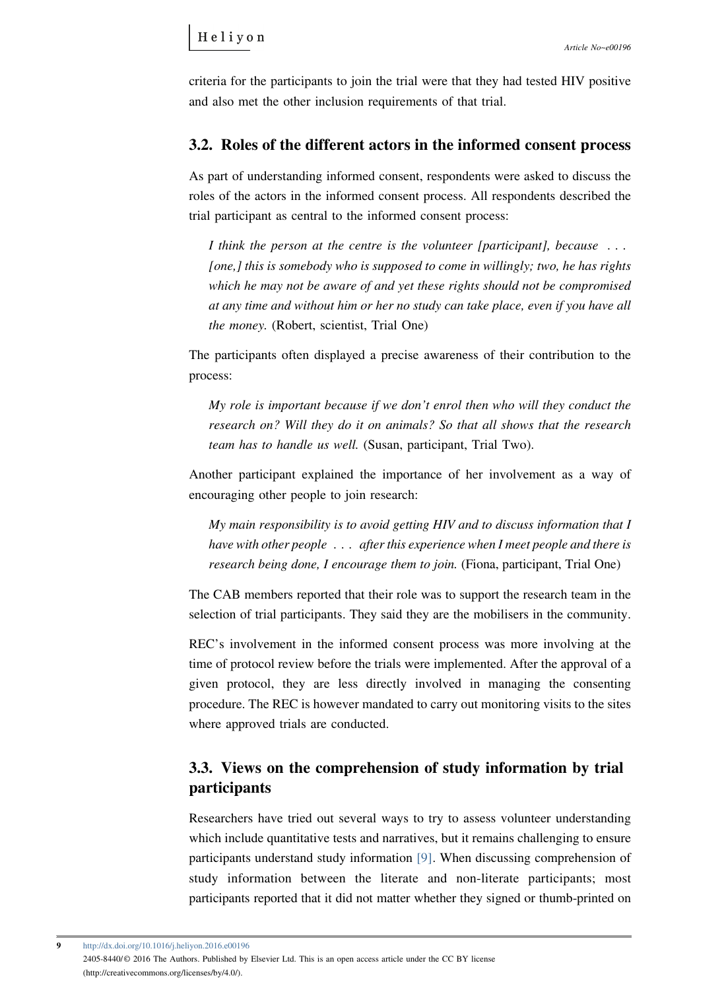criteria for the participants to join the trial were that they had tested HIV positive and also met the other inclusion requirements of that trial.

## 3.2. Roles of the different actors in the informed consent process

As part of understanding informed consent, respondents were asked to discuss the roles of the actors in the informed consent process. All respondents described the trial participant as central to the informed consent process:

I think the person at the centre is the volunteer  $[participant]$ , because  $\ldots$ [one,] this is somebody who is supposed to come in willingly; two, he has rights which he may not be aware of and yet these rights should not be compromised at any time and without him or her no study can take place, even if you have all the money. (Robert, scientist, Trial One)

The participants often displayed a precise awareness of their contribution to the process:

My role is important because if we don't enrol then who will they conduct the research on? Will they do it on animals? So that all shows that the research team has to handle us well. (Susan, participant, Trial Two).

Another participant explained the importance of her involvement as a way of encouraging other people to join research:

My main responsibility is to avoid getting HIV and to discuss information that I have with other people . . . after this experience when I meet people and there is research being done, I encourage them to join. (Fiona, participant, Trial One)

The CAB members reported that their role was to support the research team in the selection of trial participants. They said they are the mobilisers in the community.

REC's involvement in the informed consent process was more involving at the time of protocol review before the trials were implemented. After the approval of a given protocol, they are less directly involved in managing the consenting procedure. The REC is however mandated to carry out monitoring visits to the sites where approved trials are conducted.

# 3.3. Views on the comprehension of study information by trial participants

Researchers have tried out several ways to try to assess volunteer understanding which include quantitative tests and narratives, but it remains challenging to ensure participants understand study information [\[9\]](#page-23-0). When discussing comprehension of study information between the literate and non-literate participants; most participants reported that it did not matter whether they signed or thumb-printed on

9 <http://dx.doi.org/10.1016/j.heliyon.2016.e00196> 2405-8440/© 2016 The Authors. Published by Elsevier Ltd. This is an open access article under the CC BY license

(http://creativecommons.org/licenses/by/4.0/).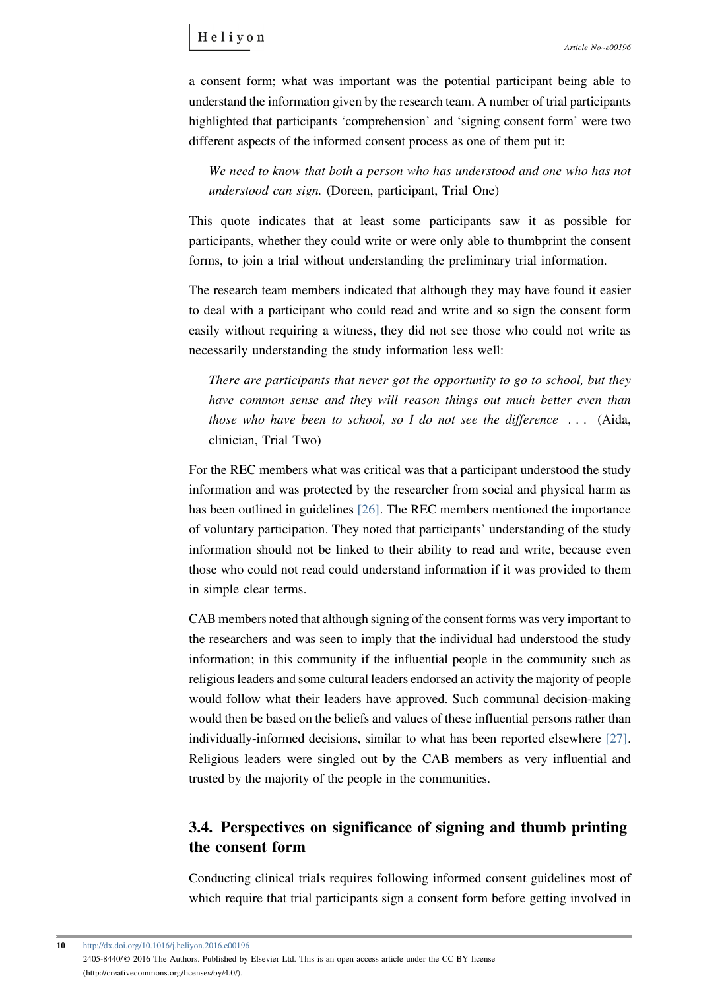a consent form; what was important was the potential participant being able to understand the information given by the research team. A number of trial participants highlighted that participants 'comprehension' and 'signing consent form' were two different aspects of the informed consent process as one of them put it:

We need to know that both a person who has understood and one who has not understood can sign. (Doreen, participant, Trial One)

This quote indicates that at least some participants saw it as possible for participants, whether they could write or were only able to thumbprint the consent forms, to join a trial without understanding the preliminary trial information.

The research team members indicated that although they may have found it easier to deal with a participant who could read and write and so sign the consent form easily without requiring a witness, they did not see those who could not write as necessarily understanding the study information less well:

There are participants that never got the opportunity to go to school, but they have common sense and they will reason things out much better even than those who have been to school, so I do not see the difference  $\ldots$  (Aida, clinician, Trial Two)

For the REC members what was critical was that a participant understood the study information and was protected by the researcher from social and physical harm as has been outlined in guidelines [\[26\].](#page-24-0) The REC members mentioned the importance of voluntary participation. They noted that participants' understanding of the study information should not be linked to their ability to read and write, because even those who could not read could understand information if it was provided to them in simple clear terms.

CAB members noted that although signing of the consent forms was very important to the researchers and was seen to imply that the individual had understood the study information; in this community if the influential people in the community such as religious leaders and some cultural leaders endorsed an activity the majority of people would follow what their leaders have approved. Such communal decision-making would then be based on the beliefs and values of these influential persons rather than individually-informed decisions, similar to what has been reported elsewhere [\[27\].](#page-24-0) Religious leaders were singled out by the CAB members as very influential and trusted by the majority of the people in the communities.

# 3.4. Perspectives on significance of signing and thumb printing the consent form

Conducting clinical trials requires following informed consent guidelines most of which require that trial participants sign a consent form before getting involved in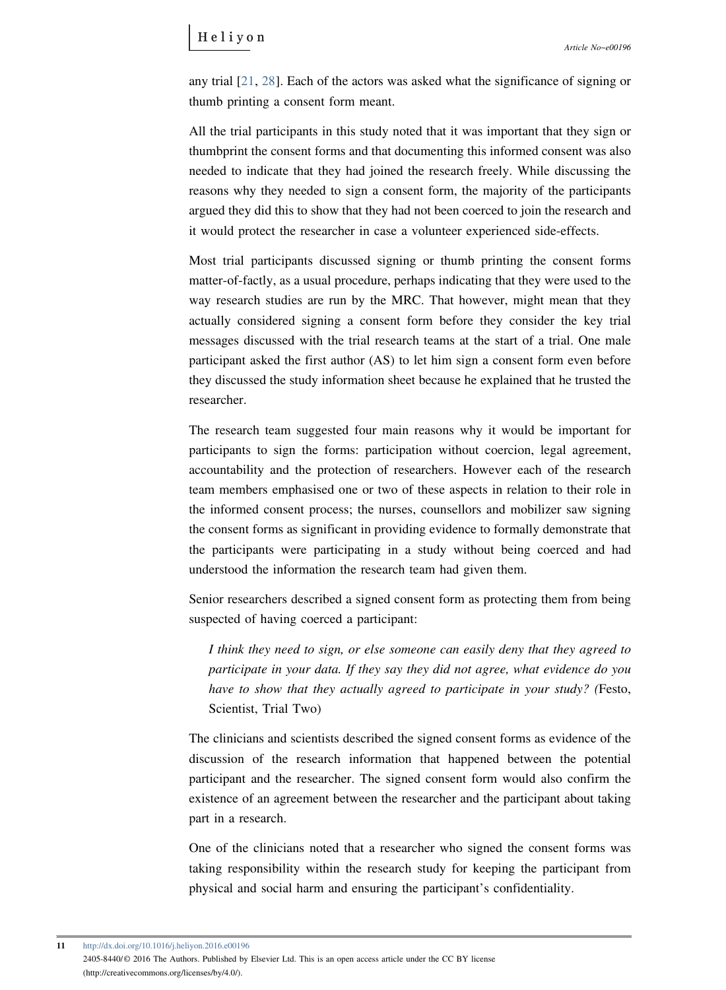any trial [[21](#page-24-0), [28](#page-24-0)]. Each of the actors was asked what the significance of signing or thumb printing a consent form meant.

All the trial participants in this study noted that it was important that they sign or thumbprint the consent forms and that documenting this informed consent was also needed to indicate that they had joined the research freely. While discussing the reasons why they needed to sign a consent form, the majority of the participants argued they did this to show that they had not been coerced to join the research and it would protect the researcher in case a volunteer experienced side-effects.

Most trial participants discussed signing or thumb printing the consent forms matter-of-factly, as a usual procedure, perhaps indicating that they were used to the way research studies are run by the MRC. That however, might mean that they actually considered signing a consent form before they consider the key trial messages discussed with the trial research teams at the start of a trial. One male participant asked the first author (AS) to let him sign a consent form even before they discussed the study information sheet because he explained that he trusted the researcher.

The research team suggested four main reasons why it would be important for participants to sign the forms: participation without coercion, legal agreement, accountability and the protection of researchers. However each of the research team members emphasised one or two of these aspects in relation to their role in the informed consent process; the nurses, counsellors and mobilizer saw signing the consent forms as significant in providing evidence to formally demonstrate that the participants were participating in a study without being coerced and had understood the information the research team had given them.

Senior researchers described a signed consent form as protecting them from being suspected of having coerced a participant:

I think they need to sign, or else someone can easily deny that they agreed to participate in your data. If they say they did not agree, what evidence do you have to show that they actually agreed to participate in your study? (Festo, Scientist, Trial Two)

The clinicians and scientists described the signed consent forms as evidence of the discussion of the research information that happened between the potential participant and the researcher. The signed consent form would also confirm the existence of an agreement between the researcher and the participant about taking part in a research.

One of the clinicians noted that a researcher who signed the consent forms was taking responsibility within the research study for keeping the participant from physical and social harm and ensuring the participant's confidentiality.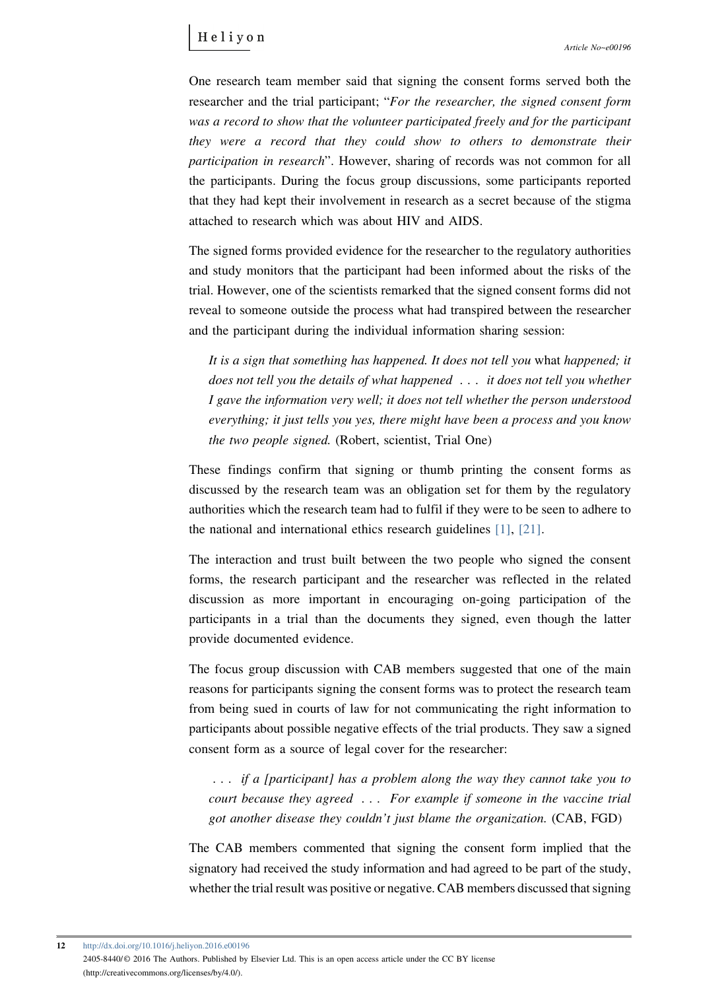One research team member said that signing the consent forms served both the researcher and the trial participant; "For the researcher, the signed consent form was a record to show that the volunteer participated freely and for the participant they were a record that they could show to others to demonstrate their participation in research". However, sharing of records was not common for all the participants. During the focus group discussions, some participants reported that they had kept their involvement in research as a secret because of the stigma attached to research which was about HIV and AIDS.

The signed forms provided evidence for the researcher to the regulatory authorities and study monitors that the participant had been informed about the risks of the trial. However, one of the scientists remarked that the signed consent forms did not reveal to someone outside the process what had transpired between the researcher and the participant during the individual information sharing session:

It is a sign that something has happened. It does not tell you what happened; it does not tell you the details of what happened . . . it does not tell you whether I gave the information very well; it does not tell whether the person understood everything; it just tells you yes, there might have been a process and you know the two people signed. (Robert, scientist, Trial One)

These findings confirm that signing or thumb printing the consent forms as discussed by the research team was an obligation set for them by the regulatory authorities which the research team had to fulfil if they were to be seen to adhere to the national and international ethics research guidelines [\[1\]](#page-22-0), [\[21\]](#page-24-0).

The interaction and trust built between the two people who signed the consent forms, the research participant and the researcher was reflected in the related discussion as more important in encouraging on-going participation of the participants in a trial than the documents they signed, even though the latter provide documented evidence.

The focus group discussion with CAB members suggested that one of the main reasons for participants signing the consent forms was to protect the research team from being sued in courts of law for not communicating the right information to participants about possible negative effects of the trial products. They saw a signed consent form as a source of legal cover for the researcher:

. . . if a [participant] has a problem along the way they cannot take you to court because they agreed . . . For example if someone in the vaccine trial got another disease they couldn't just blame the organization. (CAB, FGD)

The CAB members commented that signing the consent form implied that the signatory had received the study information and had agreed to be part of the study, whether the trial result was positive or negative. CAB members discussed that signing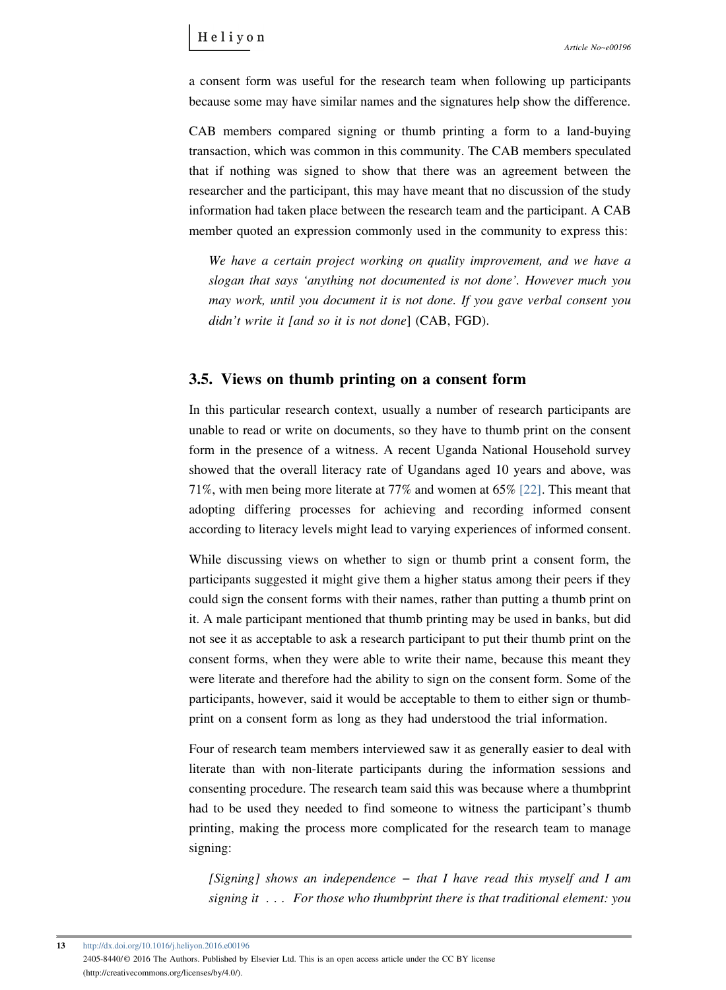a consent form was useful for the research team when following up participants because some may have similar names and the signatures help show the difference.

CAB members compared signing or thumb printing a form to a land-buying transaction, which was common in this community. The CAB members speculated that if nothing was signed to show that there was an agreement between the researcher and the participant, this may have meant that no discussion of the study information had taken place between the research team and the participant. A CAB member quoted an expression commonly used in the community to express this:

We have a certain project working on quality improvement, and we have a slogan that says 'anything not documented is not done'. However much you may work, until you document it is not done. If you gave verbal consent you didn't write it [and so it is not done] (CAB, FGD).

## 3.5. Views on thumb printing on a consent form

In this particular research context, usually a number of research participants are unable to read or write on documents, so they have to thumb print on the consent form in the presence of a witness. A recent Uganda National Household survey showed that the overall literacy rate of Ugandans aged 10 years and above, was 71%, with men being more literate at 77% and women at 65% [\[22\]](#page-24-0). This meant that adopting differing processes for achieving and recording informed consent according to literacy levels might lead to varying experiences of informed consent.

While discussing views on whether to sign or thumb print a consent form, the participants suggested it might give them a higher status among their peers if they could sign the consent forms with their names, rather than putting a thumb print on it. A male participant mentioned that thumb printing may be used in banks, but did not see it as acceptable to ask a research participant to put their thumb print on the consent forms, when they were able to write their name, because this meant they were literate and therefore had the ability to sign on the consent form. Some of the participants, however, said it would be acceptable to them to either sign or thumbprint on a consent form as long as they had understood the trial information.

Four of research team members interviewed saw it as generally easier to deal with literate than with non-literate participants during the information sessions and consenting procedure. The research team said this was because where a thumbprint had to be used they needed to find someone to witness the participant's thumb printing, making the process more complicated for the research team to manage signing:

[Signing] shows an independence – that I have read this myself and I am signing it  $\ldots$  For those who thumbprint there is that traditional element: you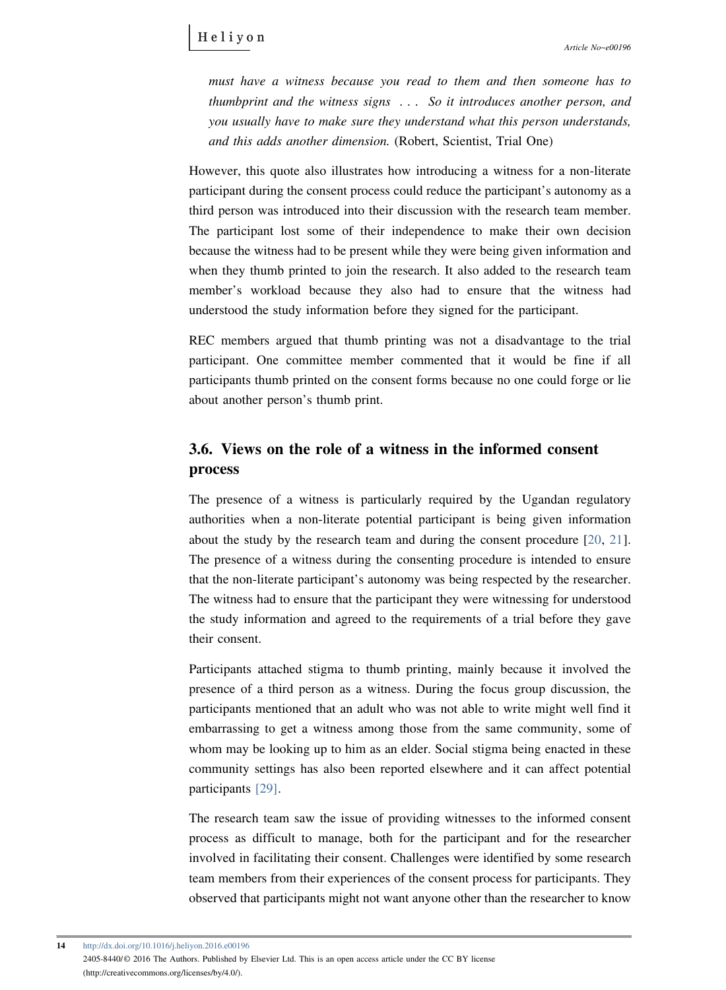must have a witness because you read to them and then someone has to thumbprint and the witness signs . . . So it introduces another person, and you usually have to make sure they understand what this person understands, and this adds another dimension. (Robert, Scientist, Trial One)

However, this quote also illustrates how introducing a witness for a non-literate participant during the consent process could reduce the participant's autonomy as a third person was introduced into their discussion with the research team member. The participant lost some of their independence to make their own decision because the witness had to be present while they were being given information and when they thumb printed to join the research. It also added to the research team member's workload because they also had to ensure that the witness had understood the study information before they signed for the participant.

REC members argued that thumb printing was not a disadvantage to the trial participant. One committee member commented that it would be fine if all participants thumb printed on the consent forms because no one could forge or lie about another person's thumb print.

# 3.6. Views on the role of a witness in the informed consent process

The presence of a witness is particularly required by the Ugandan regulatory authorities when a non-literate potential participant is being given information about the study by the research team and during the consent procedure [[20](#page-24-0), [21](#page-24-0)]. The presence of a witness during the consenting procedure is intended to ensure that the non-literate participant's autonomy was being respected by the researcher. The witness had to ensure that the participant they were witnessing for understood the study information and agreed to the requirements of a trial before they gave their consent.

Participants attached stigma to thumb printing, mainly because it involved the presence of a third person as a witness. During the focus group discussion, the participants mentioned that an adult who was not able to write might well find it embarrassing to get a witness among those from the same community, some of whom may be looking up to him as an elder. Social stigma being enacted in these community settings has also been reported elsewhere and it can affect potential participants [\[29\]](#page-24-0).

The research team saw the issue of providing witnesses to the informed consent process as difficult to manage, both for the participant and for the researcher involved in facilitating their consent. Challenges were identified by some research team members from their experiences of the consent process for participants. They observed that participants might not want anyone other than the researcher to know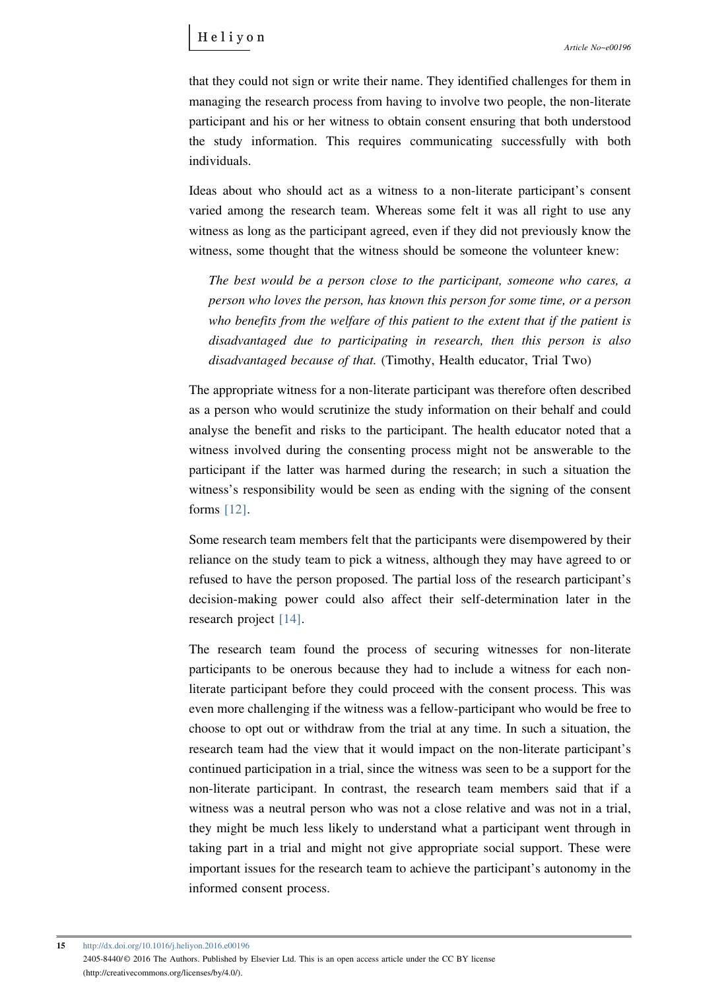that they could not sign or write their name. They identified challenges for them in managing the research process from having to involve two people, the non-literate participant and his or her witness to obtain consent ensuring that both understood the study information. This requires communicating successfully with both individuals.

Ideas about who should act as a witness to a non-literate participant's consent varied among the research team. Whereas some felt it was all right to use any witness as long as the participant agreed, even if they did not previously know the witness, some thought that the witness should be someone the volunteer knew:

The best would be a person close to the participant, someone who cares, a person who loves the person, has known this person for some time, or a person who benefits from the welfare of this patient to the extent that if the patient is disadvantaged due to participating in research, then this person is also disadvantaged because of that. (Timothy, Health educator, Trial Two)

The appropriate witness for a non-literate participant was therefore often described as a person who would scrutinize the study information on their behalf and could analyse the benefit and risks to the participant. The health educator noted that a witness involved during the consenting process might not be answerable to the participant if the latter was harmed during the research; in such a situation the witness's responsibility would be seen as ending with the signing of the consent forms [\[12\]](#page-23-0).

Some research team members felt that the participants were disempowered by their reliance on the study team to pick a witness, although they may have agreed to or refused to have the person proposed. The partial loss of the research participant's decision-making power could also affect their self-determination later in the research project [\[14\]](#page-23-0).

The research team found the process of securing witnesses for non-literate participants to be onerous because they had to include a witness for each nonliterate participant before they could proceed with the consent process. This was even more challenging if the witness was a fellow-participant who would be free to choose to opt out or withdraw from the trial at any time. In such a situation, the research team had the view that it would impact on the non-literate participant's continued participation in a trial, since the witness was seen to be a support for the non-literate participant. In contrast, the research team members said that if a witness was a neutral person who was not a close relative and was not in a trial, they might be much less likely to understand what a participant went through in taking part in a trial and might not give appropriate social support. These were important issues for the research team to achieve the participant's autonomy in the informed consent process.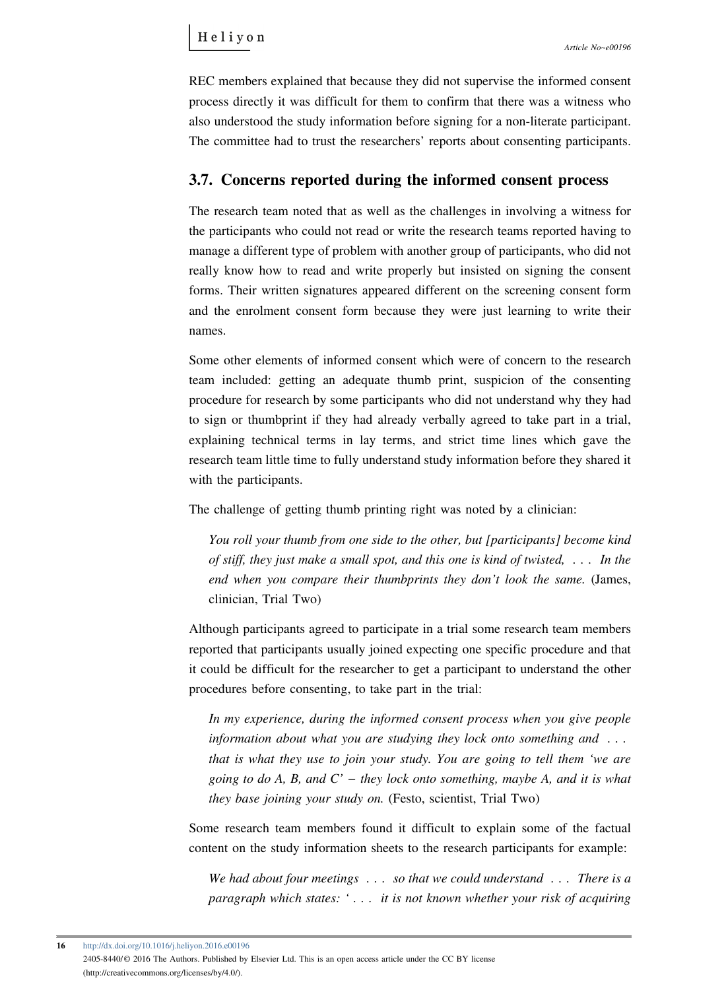REC members explained that because they did not supervise the informed consent process directly it was difficult for them to confirm that there was a witness who also understood the study information before signing for a non-literate participant. The committee had to trust the researchers' reports about consenting participants.

## 3.7. Concerns reported during the informed consent process

The research team noted that as well as the challenges in involving a witness for the participants who could not read or write the research teams reported having to manage a different type of problem with another group of participants, who did not really know how to read and write properly but insisted on signing the consent forms. Their written signatures appeared different on the screening consent form and the enrolment consent form because they were just learning to write their names.

Some other elements of informed consent which were of concern to the research team included: getting an adequate thumb print, suspicion of the consenting procedure for research by some participants who did not understand why they had to sign or thumbprint if they had already verbally agreed to take part in a trial, explaining technical terms in lay terms, and strict time lines which gave the research team little time to fully understand study information before they shared it with the participants.

The challenge of getting thumb printing right was noted by a clinician:

You roll your thumb from one side to the other, but [participants] become kind of stiff, they just make a small spot, and this one is kind of twisted, . . . In the end when you compare their thumbprints they don't look the same. (James, clinician, Trial Two)

Although participants agreed to participate in a trial some research team members reported that participants usually joined expecting one specific procedure and that it could be difficult for the researcher to get a participant to understand the other procedures before consenting, to take part in the trial:

In my experience, during the informed consent process when you give people information about what you are studying they lock onto something and ... that is what they use to join your study. You are going to tell them 'we are going to do A, B, and  $C'$  – they lock onto something, maybe A, and it is what they base joining your study on. (Festo, scientist, Trial Two)

Some research team members found it difficult to explain some of the factual content on the study information sheets to the research participants for example:

We had about four meetings  $\ldots$  so that we could understand  $\ldots$  There is a paragraph which states: ' . . . it is not known whether your risk of acquiring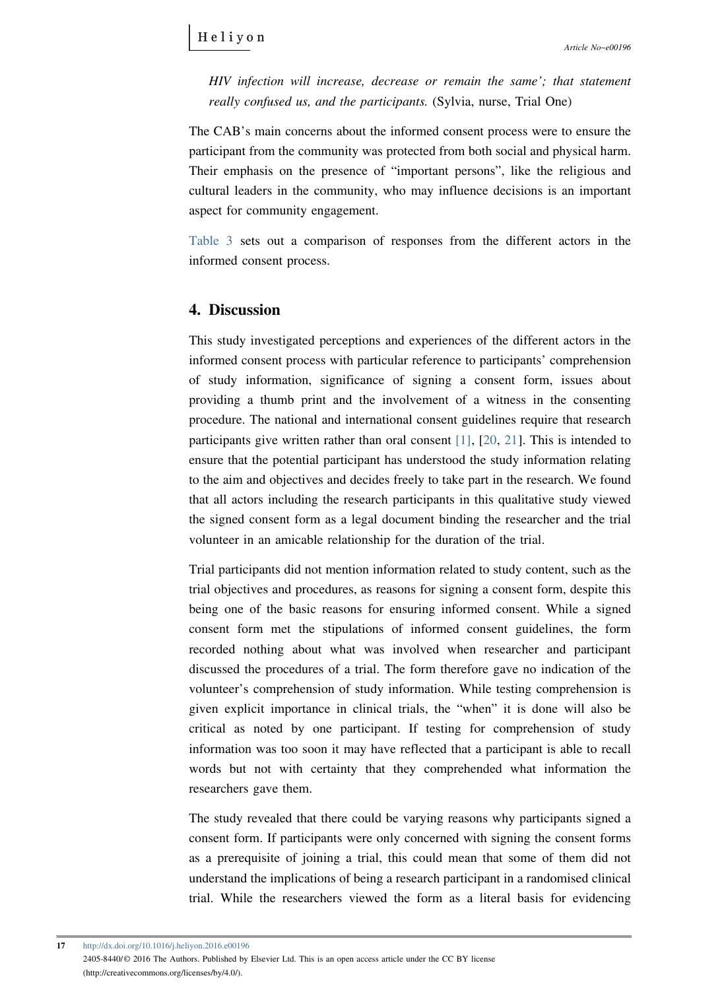HIV infection will increase, decrease or remain the same'; that statement really confused us, and the participants. (Sylvia, nurse, Trial One)

The CAB's main concerns about the informed consent process were to ensure the participant from the community was protected from both social and physical harm. Their emphasis on the presence of "important persons", like the religious and cultural leaders in the community, who may influence decisions is an important aspect for community engagement.

[Table 3](#page-17-0) sets out a comparison of responses from the different actors in the informed consent process.

## 4. Discussion

This study investigated perceptions and experiences of the different actors in the informed consent process with particular reference to participants' comprehension of study information, significance of signing a consent form, issues about providing a thumb print and the involvement of a witness in the consenting procedure. The national and international consent guidelines require that research participants give written rather than oral consent [\[1\]](#page-22-0), [[20,](#page-24-0) [21](#page-24-0)]. This is intended to ensure that the potential participant has understood the study information relating to the aim and objectives and decides freely to take part in the research. We found that all actors including the research participants in this qualitative study viewed the signed consent form as a legal document binding the researcher and the trial volunteer in an amicable relationship for the duration of the trial.

Trial participants did not mention information related to study content, such as the trial objectives and procedures, as reasons for signing a consent form, despite this being one of the basic reasons for ensuring informed consent. While a signed consent form met the stipulations of informed consent guidelines, the form recorded nothing about what was involved when researcher and participant discussed the procedures of a trial. The form therefore gave no indication of the volunteer's comprehension of study information. While testing comprehension is given explicit importance in clinical trials, the "when" it is done will also be critical as noted by one participant. If testing for comprehension of study information was too soon it may have reflected that a participant is able to recall words but not with certainty that they comprehended what information the researchers gave them.

The study revealed that there could be varying reasons why participants signed a consent form. If participants were only concerned with signing the consent forms as a prerequisite of joining a trial, this could mean that some of them did not understand the implications of being a research participant in a randomised clinical trial. While the researchers viewed the form as a literal basis for evidencing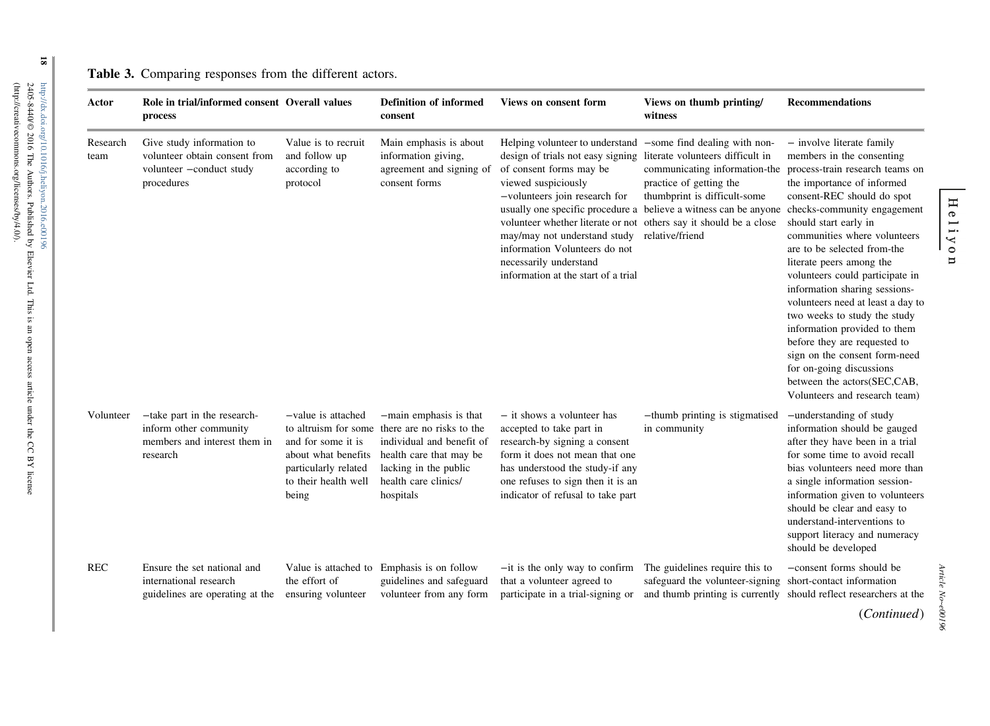| Actor            | Role in trial/informed consent Overall values<br>process                                             |                                                                                                                                                  | <b>Definition of informed</b><br>consent                                                                                                                                  | <b>Views on consent form</b>                                                                                                                                                                                                                                                                                                                                                                    | Views on thumb printing/<br>witness                                                                                                                                                                                   | <b>Recommendations</b>                                                                                                                                                                                                                                                                                                                                                                                                                                                                                                                                                                                                                         |
|------------------|------------------------------------------------------------------------------------------------------|--------------------------------------------------------------------------------------------------------------------------------------------------|---------------------------------------------------------------------------------------------------------------------------------------------------------------------------|-------------------------------------------------------------------------------------------------------------------------------------------------------------------------------------------------------------------------------------------------------------------------------------------------------------------------------------------------------------------------------------------------|-----------------------------------------------------------------------------------------------------------------------------------------------------------------------------------------------------------------------|------------------------------------------------------------------------------------------------------------------------------------------------------------------------------------------------------------------------------------------------------------------------------------------------------------------------------------------------------------------------------------------------------------------------------------------------------------------------------------------------------------------------------------------------------------------------------------------------------------------------------------------------|
| Research<br>team | Give study information to<br>volunteer obtain consent from<br>volunteer -conduct study<br>procedures | Value is to recruit<br>and follow up<br>according to<br>protocol                                                                                 | Main emphasis is about<br>information giving,<br>agreement and signing of<br>consent forms                                                                                | Helping volunteer to understand —some find dealing with non-<br>design of trials not easy signing<br>of consent forms may be<br>viewed suspiciously<br>-volunteers join research for<br>usually one specific procedure a<br>volunteer whether literate or not<br>may/may not understand study<br>information Volunteers do not<br>necessarily understand<br>information at the start of a trial | literate volunteers difficult in<br>communicating information-the<br>practice of getting the<br>thumbprint is difficult-some<br>believe a witness can be anyone<br>others say it should be a close<br>relative/friend | - involve literate family<br>members in the consenting<br>process-train research teams on<br>the importance of informed<br>consent-REC should do spot<br>checks-community engagement<br>should start early in<br>communities where volunteers<br>are to be selected from-the<br>literate peers among the<br>volunteers could participate in<br>information sharing sessions-<br>volunteers need at least a day to<br>two weeks to study the study<br>information provided to them<br>before they are requested to<br>sign on the consent form-need<br>for on-going discussions<br>between the actors(SEC,CAB,<br>Volunteers and research team) |
| Volunteer        | -take part in the research-<br>inform other community<br>members and interest them in<br>research    | -value is attached<br>to altruism for some<br>and for some it is<br>about what benefits<br>particularly related<br>to their health well<br>being | -main emphasis is that<br>there are no risks to the<br>individual and benefit of<br>health care that may be<br>lacking in the public<br>health care clinics/<br>hospitals | - it shows a volunteer has<br>accepted to take part in<br>research-by signing a consent<br>form it does not mean that one<br>has understood the study-if any<br>one refuses to sign then it is an<br>indicator of refusal to take part                                                                                                                                                          | -thumb printing is stigmatised<br>in community                                                                                                                                                                        | -understanding of study<br>information should be gauged<br>after they have been in a trial<br>for some time to avoid recall<br>bias volunteers need more than<br>a single information session-<br>information given to volunteers<br>should be clear and easy to<br>understand-interventions to<br>support literacy and numeracy<br>should be developed                                                                                                                                                                                                                                                                                        |
| <b>REC</b>       | Ensure the set national and<br>international research<br>guidelines are operating at the             | Value is attached to<br>the effort of<br>ensuring volunteer                                                                                      | Emphasis is on follow<br>guidelines and safeguard<br>volunteer from any form                                                                                              | $-it$ is the only way to confirm<br>that a volunteer agreed to<br>participate in a trial-signing or                                                                                                                                                                                                                                                                                             | The guidelines require this to<br>safeguard the volunteer-signing                                                                                                                                                     | -consent forms should be<br>short-contact information<br>and thumb printing is currently should reflect researchers at the                                                                                                                                                                                                                                                                                                                                                                                                                                                                                                                     |

(http://creativecommons.org/licenses/by/4.0/).

<span id="page-17-0"></span>18

Article No~e00196 Article No~e00196

(Continued)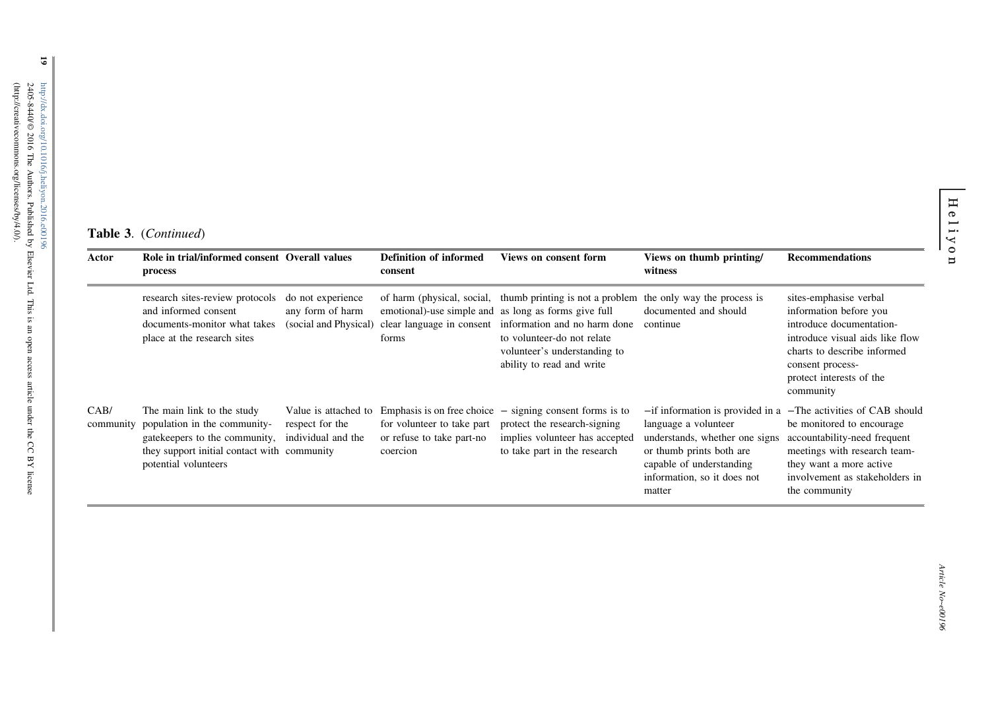|  |  | Table 3. (Continued) |
|--|--|----------------------|
|--|--|----------------------|

| Actor             | Role in trial/informed consent Overall values<br>process                                                                                                            |                                                                | Definition of informed<br>consent                                                                 | Views on consent form                                                                                                                                                                                              | Views on thumb printing/<br>witness                                                                                                                                                         | <b>Recommendations</b>                                                                                                                                                                                      |
|-------------------|---------------------------------------------------------------------------------------------------------------------------------------------------------------------|----------------------------------------------------------------|---------------------------------------------------------------------------------------------------|--------------------------------------------------------------------------------------------------------------------------------------------------------------------------------------------------------------------|---------------------------------------------------------------------------------------------------------------------------------------------------------------------------------------------|-------------------------------------------------------------------------------------------------------------------------------------------------------------------------------------------------------------|
|                   | research sites-review protocols<br>and informed consent<br>documents-monitor what takes<br>place at the research sites                                              | do not experience<br>any form of harm<br>(social and Physical) | of harm (physical, social,<br>clear language in consent<br>forms                                  | thumb printing is not a problem<br>emotional)-use simple and as long as forms give full<br>information and no harm done<br>to volunteer-do not relate<br>volunteer's understanding to<br>ability to read and write | the only way the process is<br>documented and should<br>continue                                                                                                                            | sites-emphasise verbal<br>information before you<br>introduce documentation-<br>introduce visual aids like flow<br>charts to describe informed<br>consent process-<br>protect interests of the<br>community |
| CAB/<br>community | The main link to the study<br>population in the community-<br>gate keepers to the community,<br>they support initial contact with community<br>potential volunteers | Value is attached to<br>respect for the<br>individual and the  | Emphasis is on free choice<br>for volunteer to take part<br>or refuse to take part-no<br>coercion | - signing consent forms is to<br>protect the research-signing<br>implies volunteer has accepted<br>to take part in the research                                                                                    | -if information is provided in a<br>language a volunteer<br>understands, whether one signs<br>or thumb prints both are<br>capable of understanding<br>information, so it does not<br>matter | -The activities of CAB should<br>be monitored to encourage<br>accountability-need frequent<br>meetings with research team-<br>they want a more active<br>involvement as stakeholders in<br>the community    |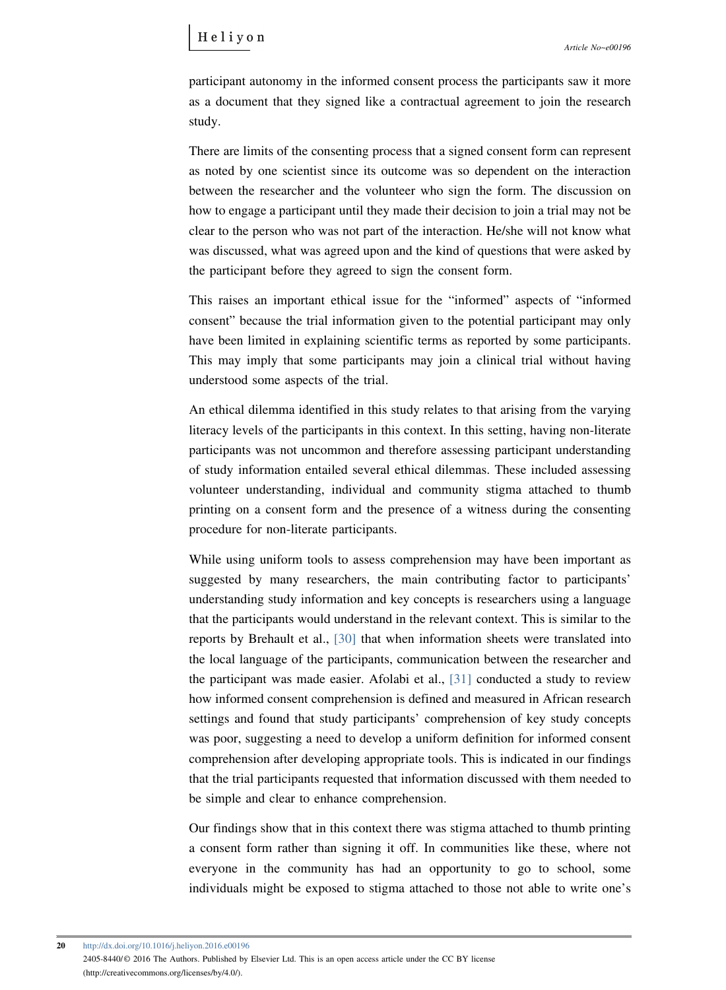participant autonomy in the informed consent process the participants saw it more as a document that they signed like a contractual agreement to join the research study.

There are limits of the consenting process that a signed consent form can represent as noted by one scientist since its outcome was so dependent on the interaction between the researcher and the volunteer who sign the form. The discussion on how to engage a participant until they made their decision to join a trial may not be clear to the person who was not part of the interaction. He/she will not know what was discussed, what was agreed upon and the kind of questions that were asked by the participant before they agreed to sign the consent form.

This raises an important ethical issue for the "informed" aspects of "informed consent" because the trial information given to the potential participant may only have been limited in explaining scientific terms as reported by some participants. This may imply that some participants may join a clinical trial without having understood some aspects of the trial.

An ethical dilemma identified in this study relates to that arising from the varying literacy levels of the participants in this context. In this setting, having non-literate participants was not uncommon and therefore assessing participant understanding of study information entailed several ethical dilemmas. These included assessing volunteer understanding, individual and community stigma attached to thumb printing on a consent form and the presence of a witness during the consenting procedure for non-literate participants.

While using uniform tools to assess comprehension may have been important as suggested by many researchers, the main contributing factor to participants' understanding study information and key concepts is researchers using a language that the participants would understand in the relevant context. This is similar to the reports by Brehault et al., [\[30\]](#page-24-0) that when information sheets were translated into the local language of the participants, communication between the researcher and the participant was made easier. Afolabi et al., [\[31\]](#page-24-0) conducted a study to review how informed consent comprehension is defined and measured in African research settings and found that study participants' comprehension of key study concepts was poor, suggesting a need to develop a uniform definition for informed consent comprehension after developing appropriate tools. This is indicated in our findings that the trial participants requested that information discussed with them needed to be simple and clear to enhance comprehension.

Our findings show that in this context there was stigma attached to thumb printing a consent form rather than signing it off. In communities like these, where not everyone in the community has had an opportunity to go to school, some individuals might be exposed to stigma attached to those not able to write one's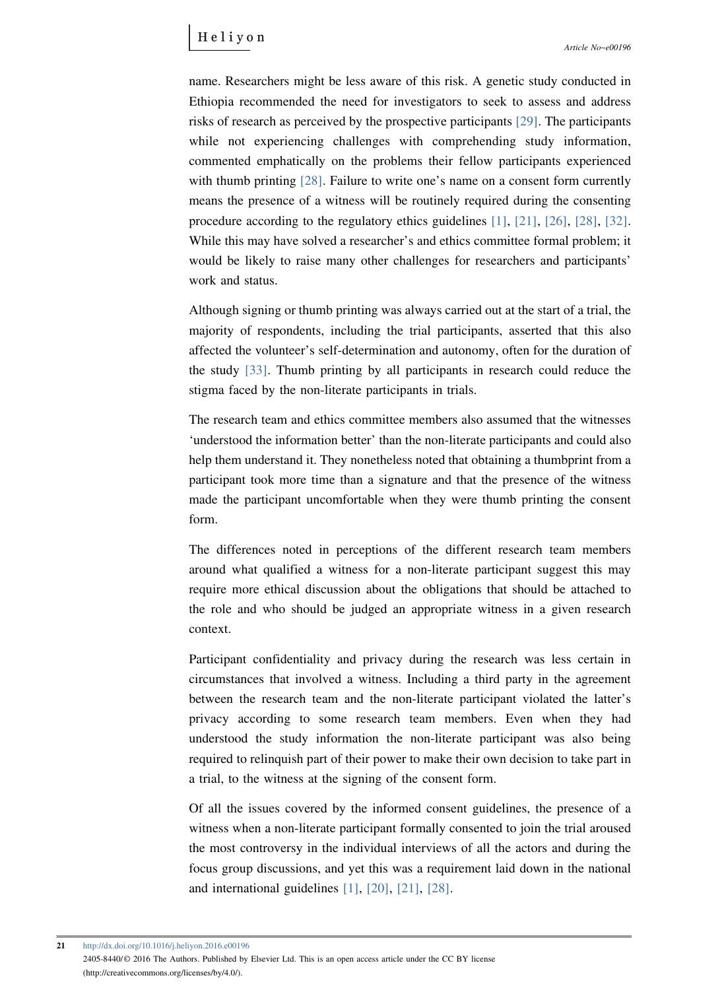name. Researchers might be less aware of this risk. A genetic study conducted in Ethiopia recommended the need for investigators to seek to assess and address risks of research as perceived by the prospective participants [\[29\]](#page-24-0). The participants while not experiencing challenges with comprehending study information, commented emphatically on the problems their fellow participants experienced with thumb printing [\[28\]](#page-24-0). Failure to write one's name on a consent form currently means the presence of a witness will be routinely required during the consenting procedure according to the regulatory ethics guidelines [\[1\]](#page-22-0), [\[21\]](#page-24-0), [\[26\]](#page-24-0), [\[28\]](#page-24-0), [\[32\].](#page-25-0) While this may have solved a researcher's and ethics committee formal problem; it would be likely to raise many other challenges for researchers and participants' work and status.

Although signing or thumb printing was always carried out at the start of a trial, the majority of respondents, including the trial participants, asserted that this also affected the volunteer's self-determination and autonomy, often for the duration of the study [\[33\]](#page-25-0). Thumb printing by all participants in research could reduce the stigma faced by the non-literate participants in trials.

The research team and ethics committee members also assumed that the witnesses 'understood the information better' than the non-literate participants and could also help them understand it. They nonetheless noted that obtaining a thumbprint from a participant took more time than a signature and that the presence of the witness made the participant uncomfortable when they were thumb printing the consent form.

The differences noted in perceptions of the different research team members around what qualified a witness for a non-literate participant suggest this may require more ethical discussion about the obligations that should be attached to the role and who should be judged an appropriate witness in a given research context.

Participant confidentiality and privacy during the research was less certain in circumstances that involved a witness. Including a third party in the agreement between the research team and the non-literate participant violated the latter's privacy according to some research team members. Even when they had understood the study information the non-literate participant was also being required to relinquish part of their power to make their own decision to take part in a trial, to the witness at the signing of the consent form.

Of all the issues covered by the informed consent guidelines, the presence of a witness when a non-literate participant formally consented to join the trial aroused the most controversy in the individual interviews of all the actors and during the focus group discussions, and yet this was a requirement laid down in the national and international guidelines [\[1\]](#page-22-0), [\[20\]](#page-24-0), [\[21\]](#page-24-0), [\[28\]](#page-24-0).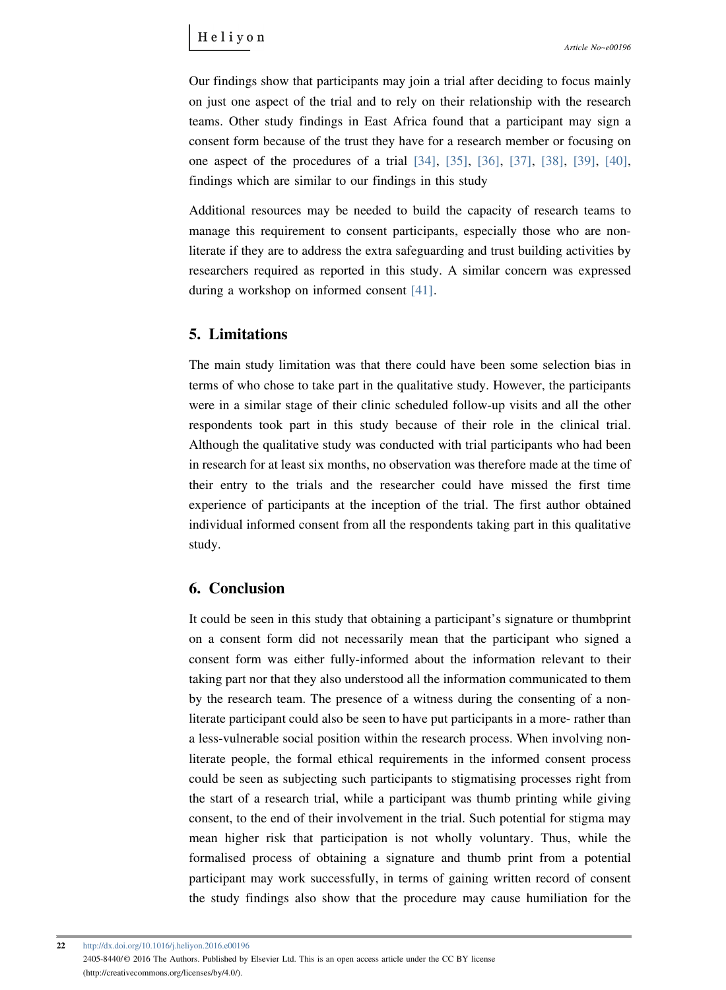Our findings show that participants may join a trial after deciding to focus mainly on just one aspect of the trial and to rely on their relationship with the research teams. Other study findings in East Africa found that a participant may sign a consent form because of the trust they have for a research member or focusing on one aspect of the procedures of a trial [\[34\]](#page-25-0), [\[35\]](#page-25-0), [\[36\]](#page-25-0), [\[37\]](#page-25-0), [\[38\],](#page-25-0) [\[39\],](#page-25-0) [\[40\],](#page-25-0) findings which are similar to our findings in this study

Additional resources may be needed to build the capacity of research teams to manage this requirement to consent participants, especially those who are nonliterate if they are to address the extra safeguarding and trust building activities by researchers required as reported in this study. A similar concern was expressed during a workshop on informed consent [\[41\]](#page-25-0).

## 5. Limitations

The main study limitation was that there could have been some selection bias in terms of who chose to take part in the qualitative study. However, the participants were in a similar stage of their clinic scheduled follow-up visits and all the other respondents took part in this study because of their role in the clinical trial. Although the qualitative study was conducted with trial participants who had been in research for at least six months, no observation was therefore made at the time of their entry to the trials and the researcher could have missed the first time experience of participants at the inception of the trial. The first author obtained individual informed consent from all the respondents taking part in this qualitative study.

## 6. Conclusion

It could be seen in this study that obtaining a participant's signature or thumbprint on a consent form did not necessarily mean that the participant who signed a consent form was either fully-informed about the information relevant to their taking part nor that they also understood all the information communicated to them by the research team. The presence of a witness during the consenting of a nonliterate participant could also be seen to have put participants in a more- rather than a less-vulnerable social position within the research process. When involving nonliterate people, the formal ethical requirements in the informed consent process could be seen as subjecting such participants to stigmatising processes right from the start of a research trial, while a participant was thumb printing while giving consent, to the end of their involvement in the trial. Such potential for stigma may mean higher risk that participation is not wholly voluntary. Thus, while the formalised process of obtaining a signature and thumb print from a potential participant may work successfully, in terms of gaining written record of consent the study findings also show that the procedure may cause humiliation for the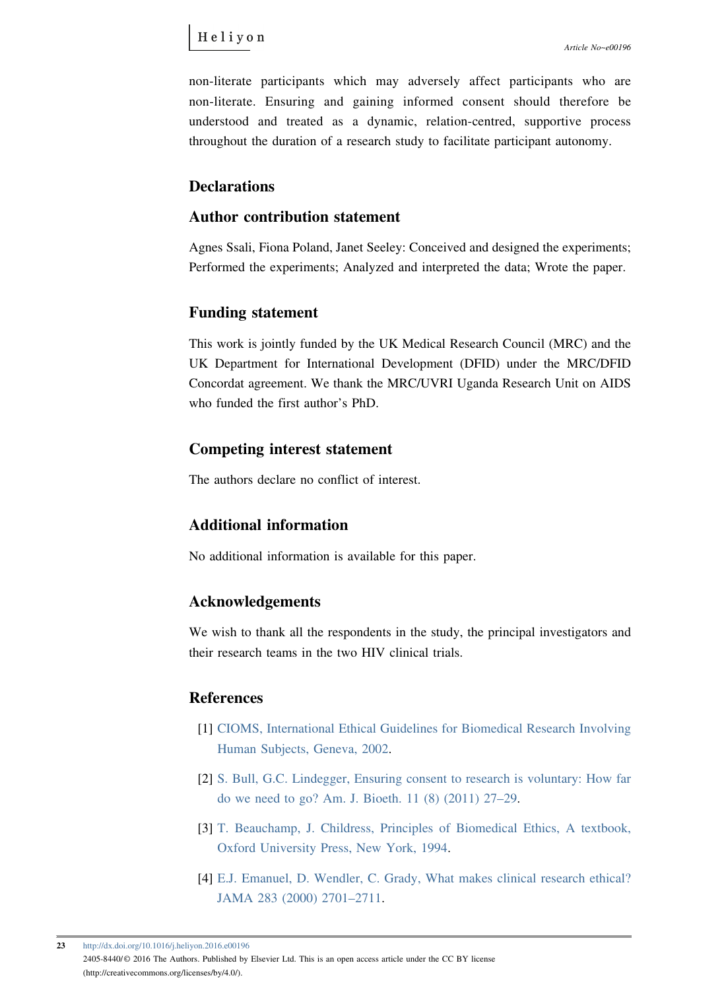<span id="page-22-0"></span>non-literate participants which may adversely affect participants who are non-literate. Ensuring and gaining informed consent should therefore be understood and treated as a dynamic, relation-centred, supportive process throughout the duration of a research study to facilitate participant autonomy.

## **Declarations**

## Author contribution statement

Agnes Ssali, Fiona Poland, Janet Seeley: Conceived and designed the experiments; Performed the experiments; Analyzed and interpreted the data; Wrote the paper.

#### Funding statement

This work is jointly funded by the UK Medical Research Council (MRC) and the UK Department for International Development (DFID) under the MRC/DFID Concordat agreement. We thank the MRC/UVRI Uganda Research Unit on AIDS who funded the first author's PhD.

## Competing interest statement

The authors declare no conflict of interest.

## Additional information

No additional information is available for this paper.

## Acknowledgements

We wish to thank all the respondents in the study, the principal investigators and their research teams in the two HIV clinical trials.

## References

- [1] [CIOMS, International Ethical Guidelines for Biomedical Research Involving](http://refhub.elsevier.com/S2405-8440(16)30604-1/sbref0005) [Human Subjects, Geneva, 2002](http://refhub.elsevier.com/S2405-8440(16)30604-1/sbref0005).
- [2] [S. Bull, G.C. Lindegger, Ensuring consent to research is voluntary: How far](http://refhub.elsevier.com/S2405-8440(16)30604-1/sbref0010) [do we need to go? Am. J. Bioeth. 11 \(8\) \(2011\) 27](http://refhub.elsevier.com/S2405-8440(16)30604-1/sbref0010)–29.
- [3] [T. Beauchamp, J. Childress, Principles of Biomedical Ethics, A textbook,](http://refhub.elsevier.com/S2405-8440(16)30604-1/sbref0015) [Oxford University Press, New York, 1994.](http://refhub.elsevier.com/S2405-8440(16)30604-1/sbref0015)
- [4] [E.J. Emanuel, D. Wendler, C. Grady, What makes clinical research ethical?](http://refhub.elsevier.com/S2405-8440(16)30604-1/sbref0020) [JAMA 283 \(2000\) 2701](http://refhub.elsevier.com/S2405-8440(16)30604-1/sbref0020)–2711.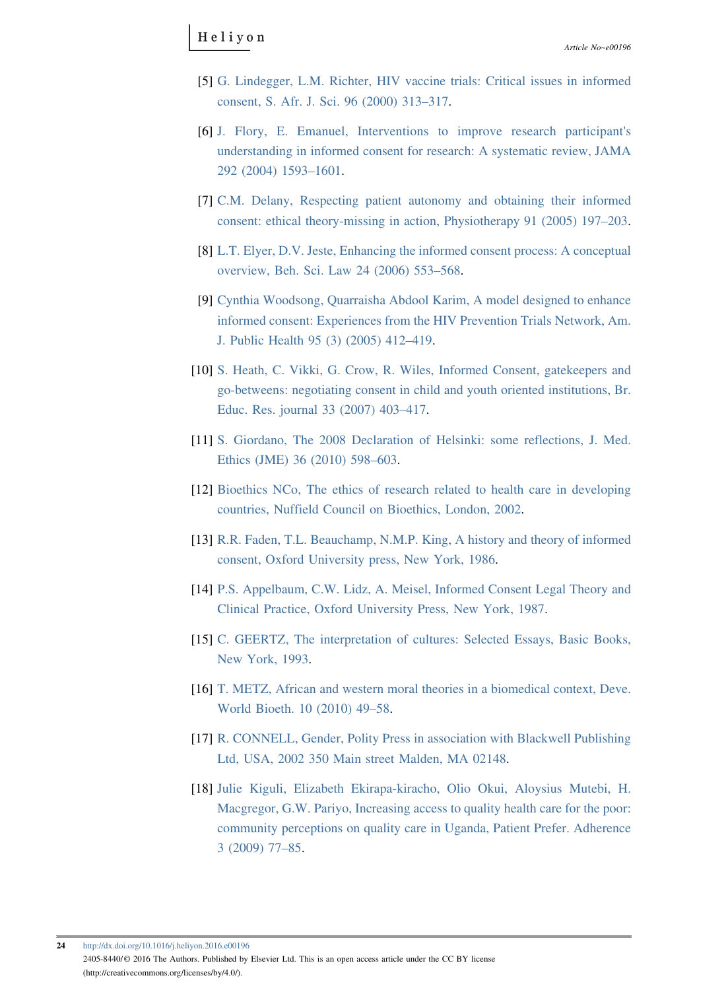- <span id="page-23-0"></span>[5] [G. Lindegger, L.M. Richter, HIV vaccine trials: Critical issues in informed](http://refhub.elsevier.com/S2405-8440(16)30604-1/sbref0025) [consent, S. Afr. J. Sci. 96 \(2000\) 313](http://refhub.elsevier.com/S2405-8440(16)30604-1/sbref0025)–317.
- [6] [J. Flory, E. Emanuel, Interventions to improve research participant's](http://refhub.elsevier.com/S2405-8440(16)30604-1/sbref0030) [understanding in informed consent for research: A systematic review, JAMA](http://refhub.elsevier.com/S2405-8440(16)30604-1/sbref0030) [292 \(2004\) 1593](http://refhub.elsevier.com/S2405-8440(16)30604-1/sbref0030)–1601.
- [7] [C.M. Delany, Respecting patient autonomy and obtaining their informed](http://refhub.elsevier.com/S2405-8440(16)30604-1/sbref0035) [consent: ethical theory-missing in action, Physiotherapy 91 \(2005\) 197](http://refhub.elsevier.com/S2405-8440(16)30604-1/sbref0035)–203.
- [8] [L.T. Elyer, D.V. Jeste, Enhancing the informed consent process: A conceptual](http://refhub.elsevier.com/S2405-8440(16)30604-1/sbref0040) [overview, Beh. Sci. Law 24 \(2006\) 553](http://refhub.elsevier.com/S2405-8440(16)30604-1/sbref0040)–568.
- [9] [Cynthia Woodsong, Quarraisha Abdool Karim, A model designed to enhance](http://refhub.elsevier.com/S2405-8440(16)30604-1/sbref0045) [informed consent: Experiences from the HIV Prevention Trials Network, Am.](http://refhub.elsevier.com/S2405-8440(16)30604-1/sbref0045) [J. Public Health 95 \(3\) \(2005\) 412](http://refhub.elsevier.com/S2405-8440(16)30604-1/sbref0045)–419.
- [10] [S. Heath, C. Vikki, G. Crow, R. Wiles, Informed Consent, gatekeepers and](http://refhub.elsevier.com/S2405-8440(16)30604-1/sbref0050) [go-betweens: negotiating consent in child and youth oriented institutions, Br.](http://refhub.elsevier.com/S2405-8440(16)30604-1/sbref0050) [Educ. Res. journal 33 \(2007\) 403](http://refhub.elsevier.com/S2405-8440(16)30604-1/sbref0050)–417.
- [11] [S. Giordano, The 2008 Declaration of Helsinki: some reflections, J. Med.](http://refhub.elsevier.com/S2405-8440(16)30604-1/sbref0055) [Ethics \(JME\) 36 \(2010\) 598](http://refhub.elsevier.com/S2405-8440(16)30604-1/sbref0055)–603.
- [12] [Bioethics NCo, The ethics of research related to health care in developing](http://refhub.elsevier.com/S2405-8440(16)30604-1/sbref0060) [countries, Nuffield Council on Bioethics, London, 2002.](http://refhub.elsevier.com/S2405-8440(16)30604-1/sbref0060)
- [13] [R.R. Faden, T.L. Beauchamp, N.M.P. King, A history and theory of informed](http://refhub.elsevier.com/S2405-8440(16)30604-1/sbref0065) [consent, Oxford University press, New York, 1986](http://refhub.elsevier.com/S2405-8440(16)30604-1/sbref0065).
- [14] [P.S. Appelbaum, C.W. Lidz, A. Meisel, Informed Consent Legal Theory and](http://refhub.elsevier.com/S2405-8440(16)30604-1/sbref0070) [Clinical Practice, Oxford University Press, New York, 1987.](http://refhub.elsevier.com/S2405-8440(16)30604-1/sbref0070)
- [15] [C. GEERTZ, The interpretation of cultures: Selected Essays, Basic Books,](http://refhub.elsevier.com/S2405-8440(16)30604-1/sbref0075) [New York, 1993](http://refhub.elsevier.com/S2405-8440(16)30604-1/sbref0075).
- [16] [T. METZ, African and western moral theories in a biomedical context, Deve.](http://refhub.elsevier.com/S2405-8440(16)30604-1/sbref0080) [World Bioeth. 10 \(2010\) 49](http://refhub.elsevier.com/S2405-8440(16)30604-1/sbref0080)–58.
- [17] [R. CONNELL, Gender, Polity Press in association with Blackwell Publishing](http://refhub.elsevier.com/S2405-8440(16)30604-1/sbref0085) [Ltd, USA, 2002 350 Main street Malden, MA 02148.](http://refhub.elsevier.com/S2405-8440(16)30604-1/sbref0085)
- [18] [Julie Kiguli, Elizabeth Ekirapa-kiracho, Olio Okui, Aloysius Mutebi, H.](http://refhub.elsevier.com/S2405-8440(16)30604-1/sbref0090) [Macgregor, G.W. Pariyo, Increasing access to quality health care for the poor:](http://refhub.elsevier.com/S2405-8440(16)30604-1/sbref0090) [community perceptions on quality care in Uganda, Patient Prefer. Adherence](http://refhub.elsevier.com/S2405-8440(16)30604-1/sbref0090) [3 \(2009\) 77](http://refhub.elsevier.com/S2405-8440(16)30604-1/sbref0090)–85.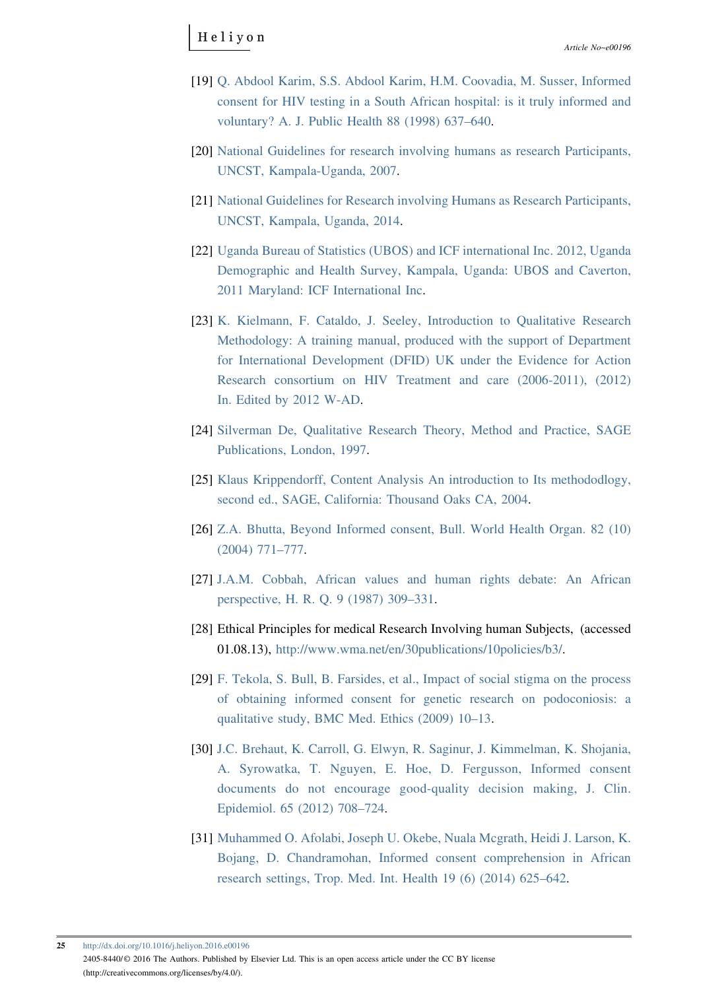- <span id="page-24-0"></span>[19] [Q. Abdool Karim, S.S. Abdool Karim, H.M. Coovadia, M. Susser, Informed](http://refhub.elsevier.com/S2405-8440(16)30604-1/sbref0095) [consent for HIV testing in a South African hospital: is it truly informed and](http://refhub.elsevier.com/S2405-8440(16)30604-1/sbref0095) [voluntary? A. J. Public Health 88 \(1998\) 637](http://refhub.elsevier.com/S2405-8440(16)30604-1/sbref0095)–640.
- [20] [National Guidelines for research involving humans as research Participants,](http://refhub.elsevier.com/S2405-8440(16)30604-1/sbref0100) [UNCST, Kampala-Uganda, 2007.](http://refhub.elsevier.com/S2405-8440(16)30604-1/sbref0100)
- [21] [National Guidelines for Research involving Humans as Research Participants,](http://refhub.elsevier.com/S2405-8440(16)30604-1/sbref0105) [UNCST, Kampala, Uganda, 2014](http://refhub.elsevier.com/S2405-8440(16)30604-1/sbref0105).
- [22] [Uganda Bureau of Statistics \(UBOS\) and ICF international Inc. 2012, Uganda](http://refhub.elsevier.com/S2405-8440(16)30604-1/sbref0110) Demographic and Health [Survey, Kampala, Uganda: UBOS and Caverton,](http://refhub.elsevier.com/S2405-8440(16)30604-1/sbref0110) [2011 Maryland: ICF International Inc.](http://refhub.elsevier.com/S2405-8440(16)30604-1/sbref0110)
- [23] [K. Kielmann, F. Cataldo, J. Seeley, Introduction to Qualitative Research](http://refhub.elsevier.com/S2405-8440(16)30604-1/sbref0115) [Methodology: A training manual, produced with the support of Department](http://refhub.elsevier.com/S2405-8440(16)30604-1/sbref0115) [for International Development \(DFID\)](http://refhub.elsevier.com/S2405-8440(16)30604-1/sbref0115) UK under the Evidence for Action [Research consortium on HIV Treatment and care \(2006-2011\), \(2012\)](http://refhub.elsevier.com/S2405-8440(16)30604-1/sbref0115) [In. Edited by 2012 W-AD](http://refhub.elsevier.com/S2405-8440(16)30604-1/sbref0115).
- [24] [Silverman De, Qualitative Research Theory, Method and Practice, SAGE](http://refhub.elsevier.com/S2405-8440(16)30604-1/sbref0120) [Publications, London, 1997.](http://refhub.elsevier.com/S2405-8440(16)30604-1/sbref0120)
- [25] [Klaus Krippendorff, Content Analysis An introduction to Its methododlogy,](http://refhub.elsevier.com/S2405-8440(16)30604-1/sbref0125) [second ed., SAGE, California: Thousand Oaks CA, 2004](http://refhub.elsevier.com/S2405-8440(16)30604-1/sbref0125).
- [26] [Z.A. Bhutta, Beyond Informed consent, Bull. World Health Organ. 82 \(10\)](http://refhub.elsevier.com/S2405-8440(16)30604-1/sbref0130) [\(2004\) 771](http://refhub.elsevier.com/S2405-8440(16)30604-1/sbref0130)–777.
- [27] [J.A.M. Cobbah, African values and human rights debate: An African](http://refhub.elsevier.com/S2405-8440(16)30604-1/sbref0135) [perspective, H. R. Q. 9 \(1987\) 309](http://refhub.elsevier.com/S2405-8440(16)30604-1/sbref0135)–331.
- [28] Ethical Principles for medical Research Involving human Subjects, (accessed 01.08.13), <http://www.wma.net/en/30publications/10policies/b3/>.
- [29] [F. Tekola, S. Bull, B. Farsides, et al., Impact of social stigma on the process](http://refhub.elsevier.com/S2405-8440(16)30604-1/sbref0145) [of obtaining informed consent for genetic research on podoconiosis: a](http://refhub.elsevier.com/S2405-8440(16)30604-1/sbref0145) [qualitative study, BMC Med. Ethics \(2009\) 10](http://refhub.elsevier.com/S2405-8440(16)30604-1/sbref0145)–13.
- [30] [J.C. Brehaut, K. Carroll, G. Elwyn, R. Saginur, J. Kimmelman, K. Shojania,](http://refhub.elsevier.com/S2405-8440(16)30604-1/sbref0150) [A. Syrowatka, T. Nguyen, E. Hoe, D. Fergusson, Informed consent](http://refhub.elsevier.com/S2405-8440(16)30604-1/sbref0150) [documents do not encourage good-quality decision making, J. Clin.](http://refhub.elsevier.com/S2405-8440(16)30604-1/sbref0150) [Epidemiol. 65 \(2012\) 708](http://refhub.elsevier.com/S2405-8440(16)30604-1/sbref0150)–724.
- [31] [Muhammed O. Afolabi, Joseph U. Okebe, Nuala Mcgrath, Heidi J. Larson, K.](http://refhub.elsevier.com/S2405-8440(16)30604-1/sbref0155) [Bojang, D. Chandramohan, Informed consent comprehension in African](http://refhub.elsevier.com/S2405-8440(16)30604-1/sbref0155) [research settings, Trop. Med. Int. Health 19 \(6\) \(2014\) 625](http://refhub.elsevier.com/S2405-8440(16)30604-1/sbref0155)–642.